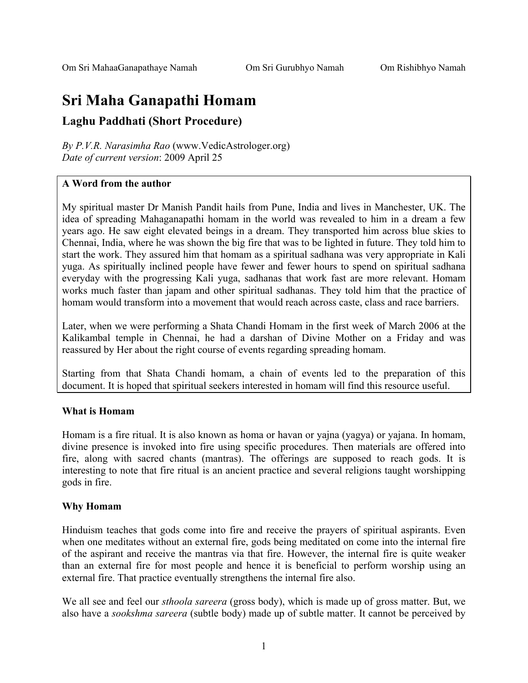# **Sri Maha Ganapathi Homam**

#### **Laghu Paddhati (Short Procedure)**

*By P.V.R. Narasimha Rao* (www.VedicAstrologer.org) *Date of current version*: 2009 April 25

#### **A Word from the author**

My spiritual master Dr Manish Pandit hails from Pune, India and lives in Manchester, UK. The idea of spreading Mahaganapathi homam in the world was revealed to him in a dream a few years ago. He saw eight elevated beings in a dream. They transported him across blue skies to Chennai, India, where he was shown the big fire that was to be lighted in future. They told him to start the work. They assured him that homam as a spiritual sadhana was very appropriate in Kali yuga. As spiritually inclined people have fewer and fewer hours to spend on spiritual sadhana everyday with the progressing Kali yuga, sadhanas that work fast are more relevant. Homam works much faster than japam and other spiritual sadhanas. They told him that the practice of homam would transform into a movement that would reach across caste, class and race barriers.

Later, when we were performing a Shata Chandi Homam in the first week of March 2006 at the Kalikambal temple in Chennai, he had a darshan of Divine Mother on a Friday and was reassured by Her about the right course of events regarding spreading homam.

Starting from that Shata Chandi homam, a chain of events led to the preparation of this document. It is hoped that spiritual seekers interested in homam will find this resource useful.

#### **What is Homam**

Homam is a fire ritual. It is also known as homa or havan or yajna (yagya) or yajana. In homam, divine presence is invoked into fire using specific procedures. Then materials are offered into fire, along with sacred chants (mantras). The offerings are supposed to reach gods. It is interesting to note that fire ritual is an ancient practice and several religions taught worshipping gods in fire.

#### **Why Homam**

Hinduism teaches that gods come into fire and receive the prayers of spiritual aspirants. Even when one meditates without an external fire, gods being meditated on come into the internal fire of the aspirant and receive the mantras via that fire. However, the internal fire is quite weaker than an external fire for most people and hence it is beneficial to perform worship using an external fire. That practice eventually strengthens the internal fire also.

We all see and feel our *sthoola sareera* (gross body), which is made up of gross matter. But, we also have a *sookshma sareera* (subtle body) made up of subtle matter. It cannot be perceived by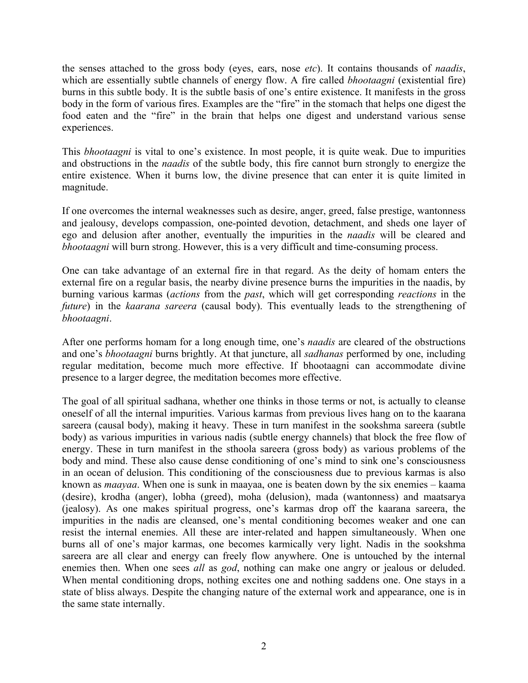the senses attached to the gross body (eyes, ears, nose *etc*). It contains thousands of *naadis*, which are essentially subtle channels of energy flow. A fire called *bhootaagni* (existential fire) burns in this subtle body. It is the subtle basis of one's entire existence. It manifests in the gross body in the form of various fires. Examples are the "fire" in the stomach that helps one digest the food eaten and the "fire" in the brain that helps one digest and understand various sense experiences.

This *bhootaagni* is vital to one's existence. In most people, it is quite weak. Due to impurities and obstructions in the *naadis* of the subtle body, this fire cannot burn strongly to energize the entire existence. When it burns low, the divine presence that can enter it is quite limited in magnitude.

If one overcomes the internal weaknesses such as desire, anger, greed, false prestige, wantonness and jealousy, develops compassion, one-pointed devotion, detachment, and sheds one layer of ego and delusion after another, eventually the impurities in the *naadis* will be cleared and *bhootaagni* will burn strong. However, this is a very difficult and time-consuming process.

One can take advantage of an external fire in that regard. As the deity of homam enters the external fire on a regular basis, the nearby divine presence burns the impurities in the naadis, by burning various karmas (*actions* from the *past*, which will get corresponding *reactions* in the *future*) in the *kaarana sareera* (causal body). This eventually leads to the strengthening of *bhootaagni*.

After one performs homam for a long enough time, one's *naadis* are cleared of the obstructions and one's *bhootaagni* burns brightly. At that juncture, all *sadhanas* performed by one, including regular meditation, become much more effective. If bhootaagni can accommodate divine presence to a larger degree, the meditation becomes more effective.

The goal of all spiritual sadhana, whether one thinks in those terms or not, is actually to cleanse oneself of all the internal impurities. Various karmas from previous lives hang on to the kaarana sareera (causal body), making it heavy. These in turn manifest in the sookshma sareera (subtle body) as various impurities in various nadis (subtle energy channels) that block the free flow of energy. These in turn manifest in the sthoola sareera (gross body) as various problems of the body and mind. These also cause dense conditioning of one's mind to sink one's consciousness in an ocean of delusion. This conditioning of the consciousness due to previous karmas is also known as *maayaa*. When one is sunk in maayaa, one is beaten down by the six enemies – kaama (desire), krodha (anger), lobha (greed), moha (delusion), mada (wantonness) and maatsarya (jealosy). As one makes spiritual progress, one's karmas drop off the kaarana sareera, the impurities in the nadis are cleansed, one's mental conditioning becomes weaker and one can resist the internal enemies. All these are inter-related and happen simultaneously. When one burns all of one's major karmas, one becomes karmically very light. Nadis in the sookshma sareera are all clear and energy can freely flow anywhere. One is untouched by the internal enemies then. When one sees *all* as *god*, nothing can make one angry or jealous or deluded. When mental conditioning drops, nothing excites one and nothing saddens one. One stays in a state of bliss always. Despite the changing nature of the external work and appearance, one is in the same state internally.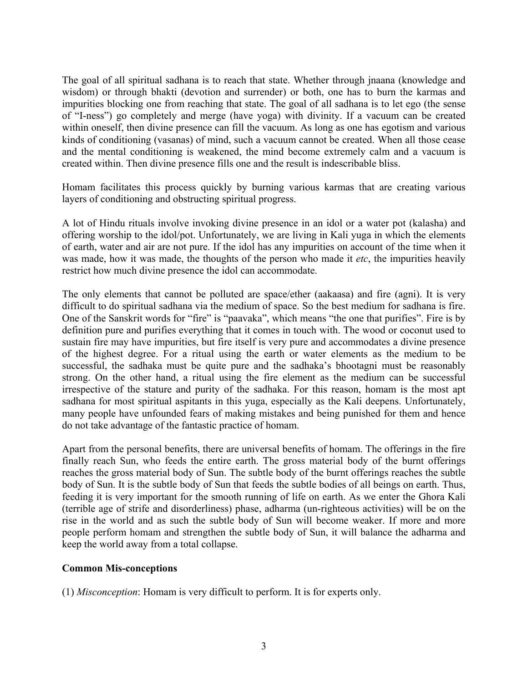The goal of all spiritual sadhana is to reach that state. Whether through jnaana (knowledge and wisdom) or through bhakti (devotion and surrender) or both, one has to burn the karmas and impurities blocking one from reaching that state. The goal of all sadhana is to let ego (the sense of "I-ness") go completely and merge (have yoga) with divinity. If a vacuum can be created within oneself, then divine presence can fill the vacuum. As long as one has egotism and various kinds of conditioning (vasanas) of mind, such a vacuum cannot be created. When all those cease and the mental conditioning is weakened, the mind become extremely calm and a vacuum is created within. Then divine presence fills one and the result is indescribable bliss.

Homam facilitates this process quickly by burning various karmas that are creating various layers of conditioning and obstructing spiritual progress.

A lot of Hindu rituals involve invoking divine presence in an idol or a water pot (kalasha) and offering worship to the idol/pot. Unfortunately, we are living in Kali yuga in which the elements of earth, water and air are not pure. If the idol has any impurities on account of the time when it was made, how it was made, the thoughts of the person who made it *etc*, the impurities heavily restrict how much divine presence the idol can accommodate.

The only elements that cannot be polluted are space/ether (aakaasa) and fire (agni). It is very difficult to do spiritual sadhana via the medium of space. So the best medium for sadhana is fire. One of the Sanskrit words for "fire" is "paavaka", which means "the one that purifies". Fire is by definition pure and purifies everything that it comes in touch with. The wood or coconut used to sustain fire may have impurities, but fire itself is very pure and accommodates a divine presence of the highest degree. For a ritual using the earth or water elements as the medium to be successful, the sadhaka must be quite pure and the sadhaka's bhootagni must be reasonably strong. On the other hand, a ritual using the fire element as the medium can be successful irrespective of the stature and purity of the sadhaka. For this reason, homam is the most apt sadhana for most spiritual aspitants in this yuga, especially as the Kali deepens. Unfortunately, many people have unfounded fears of making mistakes and being punished for them and hence do not take advantage of the fantastic practice of homam.

Apart from the personal benefits, there are universal benefits of homam. The offerings in the fire finally reach Sun, who feeds the entire earth. The gross material body of the burnt offerings reaches the gross material body of Sun. The subtle body of the burnt offerings reaches the subtle body of Sun. It is the subtle body of Sun that feeds the subtle bodies of all beings on earth. Thus, feeding it is very important for the smooth running of life on earth. As we enter the Ghora Kali (terrible age of strife and disorderliness) phase, adharma (un-righteous activities) will be on the rise in the world and as such the subtle body of Sun will become weaker. If more and more people perform homam and strengthen the subtle body of Sun, it will balance the adharma and keep the world away from a total collapse.

#### **Common Mis-conceptions**

(1) *Misconception*: Homam is very difficult to perform. It is for experts only.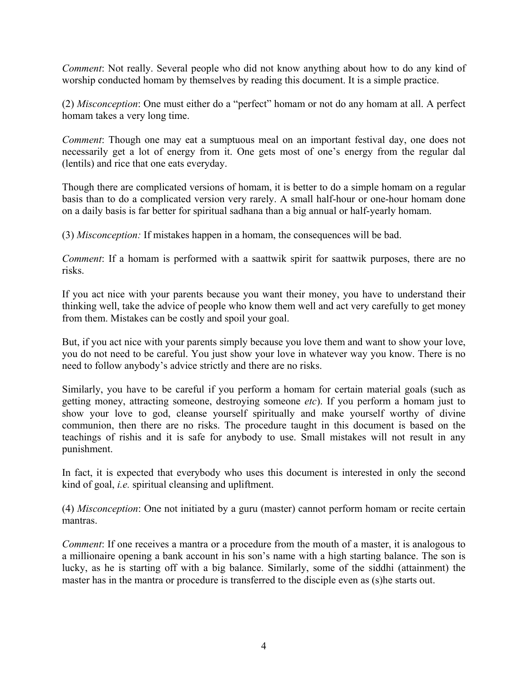*Comment*: Not really. Several people who did not know anything about how to do any kind of worship conducted homam by themselves by reading this document. It is a simple practice.

(2) *Misconception*: One must either do a "perfect" homam or not do any homam at all. A perfect homam takes a very long time.

*Comment*: Though one may eat a sumptuous meal on an important festival day, one does not necessarily get a lot of energy from it. One gets most of one's energy from the regular dal (lentils) and rice that one eats everyday.

Though there are complicated versions of homam, it is better to do a simple homam on a regular basis than to do a complicated version very rarely. A small half-hour or one-hour homam done on a daily basis is far better for spiritual sadhana than a big annual or half-yearly homam.

(3) *Misconception:* If mistakes happen in a homam, the consequences will be bad.

*Comment*: If a homam is performed with a saattwik spirit for saattwik purposes, there are no risks.

If you act nice with your parents because you want their money, you have to understand their thinking well, take the advice of people who know them well and act very carefully to get money from them. Mistakes can be costly and spoil your goal.

But, if you act nice with your parents simply because you love them and want to show your love, you do not need to be careful. You just show your love in whatever way you know. There is no need to follow anybody's advice strictly and there are no risks.

Similarly, you have to be careful if you perform a homam for certain material goals (such as getting money, attracting someone, destroying someone *etc*). If you perform a homam just to show your love to god, cleanse yourself spiritually and make yourself worthy of divine communion, then there are no risks. The procedure taught in this document is based on the teachings of rishis and it is safe for anybody to use. Small mistakes will not result in any punishment.

In fact, it is expected that everybody who uses this document is interested in only the second kind of goal, *i.e.* spiritual cleansing and upliftment.

(4) *Misconception*: One not initiated by a guru (master) cannot perform homam or recite certain mantras.

*Comment*: If one receives a mantra or a procedure from the mouth of a master, it is analogous to a millionaire opening a bank account in his son's name with a high starting balance. The son is lucky, as he is starting off with a big balance. Similarly, some of the siddhi (attainment) the master has in the mantra or procedure is transferred to the disciple even as (s)he starts out.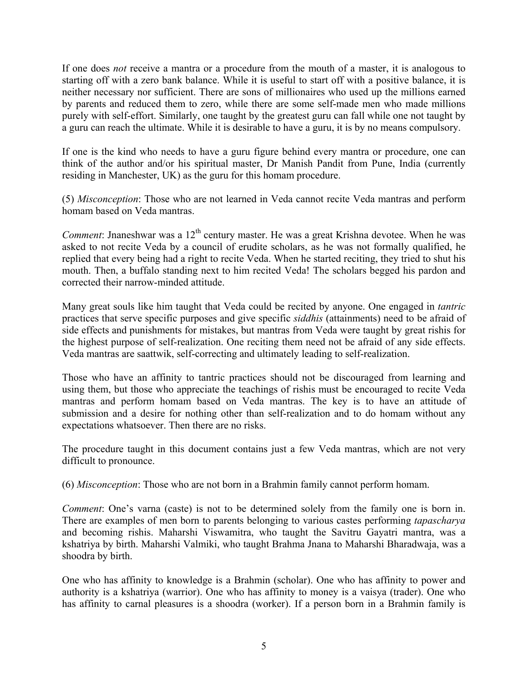If one does *not* receive a mantra or a procedure from the mouth of a master, it is analogous to starting off with a zero bank balance. While it is useful to start off with a positive balance, it is neither necessary nor sufficient. There are sons of millionaires who used up the millions earned by parents and reduced them to zero, while there are some self-made men who made millions purely with self-effort. Similarly, one taught by the greatest guru can fall while one not taught by a guru can reach the ultimate. While it is desirable to have a guru, it is by no means compulsory.

If one is the kind who needs to have a guru figure behind every mantra or procedure, one can think of the author and/or his spiritual master, Dr Manish Pandit from Pune, India (currently residing in Manchester, UK) as the guru for this homam procedure.

(5) *Misconception*: Those who are not learned in Veda cannot recite Veda mantras and perform homam based on Veda mantras.

*Comment*: Jnaneshwar was a 12<sup>th</sup> century master. He was a great Krishna devotee. When he was asked to not recite Veda by a council of erudite scholars, as he was not formally qualified, he replied that every being had a right to recite Veda. When he started reciting, they tried to shut his mouth. Then, a buffalo standing next to him recited Veda! The scholars begged his pardon and corrected their narrow-minded attitude.

Many great souls like him taught that Veda could be recited by anyone. One engaged in *tantric* practices that serve specific purposes and give specific *siddhis* (attainments) need to be afraid of side effects and punishments for mistakes, but mantras from Veda were taught by great rishis for the highest purpose of self-realization. One reciting them need not be afraid of any side effects. Veda mantras are saattwik, self-correcting and ultimately leading to self-realization.

Those who have an affinity to tantric practices should not be discouraged from learning and using them, but those who appreciate the teachings of rishis must be encouraged to recite Veda mantras and perform homam based on Veda mantras. The key is to have an attitude of submission and a desire for nothing other than self-realization and to do homam without any expectations whatsoever. Then there are no risks.

The procedure taught in this document contains just a few Veda mantras, which are not very difficult to pronounce.

(6) *Misconception*: Those who are not born in a Brahmin family cannot perform homam.

*Comment*: One's varna (caste) is not to be determined solely from the family one is born in. There are examples of men born to parents belonging to various castes performing *tapascharya* and becoming rishis. Maharshi Viswamitra, who taught the Savitru Gayatri mantra, was a kshatriya by birth. Maharshi Valmiki, who taught Brahma Jnana to Maharshi Bharadwaja, was a shoodra by birth.

One who has affinity to knowledge is a Brahmin (scholar). One who has affinity to power and authority is a kshatriya (warrior). One who has affinity to money is a vaisya (trader). One who has affinity to carnal pleasures is a shoodra (worker). If a person born in a Brahmin family is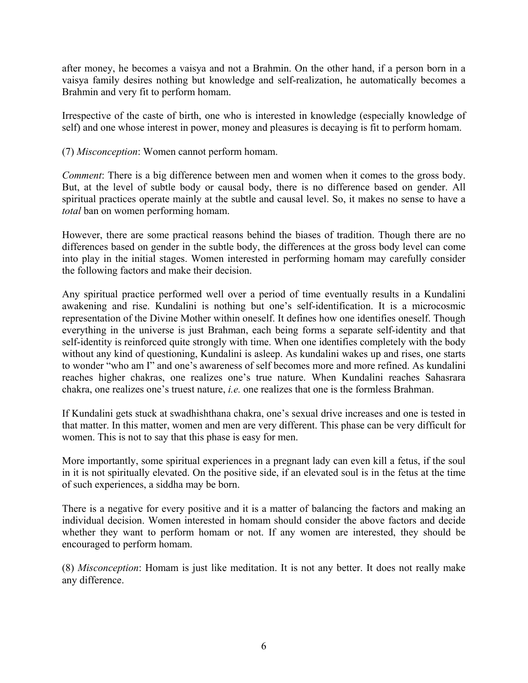after money, he becomes a vaisya and not a Brahmin. On the other hand, if a person born in a vaisya family desires nothing but knowledge and self-realization, he automatically becomes a Brahmin and very fit to perform homam.

Irrespective of the caste of birth, one who is interested in knowledge (especially knowledge of self) and one whose interest in power, money and pleasures is decaying is fit to perform homam.

(7) *Misconception*: Women cannot perform homam.

*Comment*: There is a big difference between men and women when it comes to the gross body. But, at the level of subtle body or causal body, there is no difference based on gender. All spiritual practices operate mainly at the subtle and causal level. So, it makes no sense to have a *total* ban on women performing homam.

However, there are some practical reasons behind the biases of tradition. Though there are no differences based on gender in the subtle body, the differences at the gross body level can come into play in the initial stages. Women interested in performing homam may carefully consider the following factors and make their decision.

Any spiritual practice performed well over a period of time eventually results in a Kundalini awakening and rise. Kundalini is nothing but one's self-identification. It is a microcosmic representation of the Divine Mother within oneself. It defines how one identifies oneself. Though everything in the universe is just Brahman, each being forms a separate self-identity and that self-identity is reinforced quite strongly with time. When one identifies completely with the body without any kind of questioning, Kundalini is asleep. As kundalini wakes up and rises, one starts to wonder "who am I" and one's awareness of self becomes more and more refined. As kundalini reaches higher chakras, one realizes one's true nature. When Kundalini reaches Sahasrara chakra, one realizes one's truest nature, *i.e.* one realizes that one is the formless Brahman.

If Kundalini gets stuck at swadhishthana chakra, one's sexual drive increases and one is tested in that matter. In this matter, women and men are very different. This phase can be very difficult for women. This is not to say that this phase is easy for men.

More importantly, some spiritual experiences in a pregnant lady can even kill a fetus, if the soul in it is not spiritually elevated. On the positive side, if an elevated soul is in the fetus at the time of such experiences, a siddha may be born.

There is a negative for every positive and it is a matter of balancing the factors and making an individual decision. Women interested in homam should consider the above factors and decide whether they want to perform homam or not. If any women are interested, they should be encouraged to perform homam.

(8) *Misconception*: Homam is just like meditation. It is not any better. It does not really make any difference.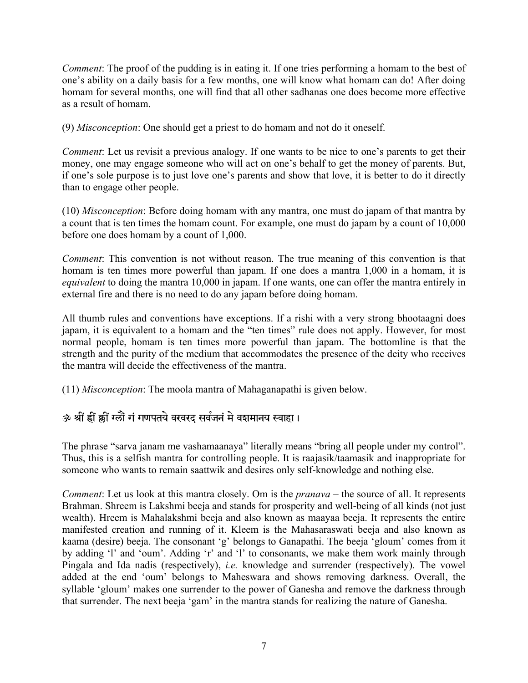*Comment*: The proof of the pudding is in eating it. If one tries performing a homam to the best of one's ability on a daily basis for a few months, one will know what homam can do! After doing homam for several months, one will find that all other sadhanas one does become more effective as a result of homam.

(9) *Misconception*: One should get a priest to do homam and not do it oneself.

*Comment*: Let us revisit a previous analogy. If one wants to be nice to one's parents to get their money, one may engage someone who will act on one's behalf to get the money of parents. But, if one's sole purpose is to just love one's parents and show that love, it is better to do it directly than to engage other people.

(10) *Misconception*: Before doing homam with any mantra, one must do japam of that mantra by a count that is ten times the homam count. For example, one must do japam by a count of 10,000 before one does homam by a count of 1,000.

*Comment*: This convention is not without reason. The true meaning of this convention is that homam is ten times more powerful than japam. If one does a mantra 1,000 in a homam, it is *equivalent* to doing the mantra 10,000 in japam. If one wants, one can offer the mantra entirely in external fire and there is no need to do any japam before doing homam.

All thumb rules and conventions have exceptions. If a rishi with a very strong bhootaagni does japam, it is equivalent to a homam and the "ten times" rule does not apply. However, for most normal people, homam is ten times more powerful than japam. The bottomline is that the strength and the purity of the medium that accommodates the presence of the deity who receives the mantra will decide the effectiveness of the mantra.

(11) *Misconception*: The moola mantra of Mahaganapathi is given below.

### ॐ श्रीं ह्रीं झ्रीं ग्लों गं गणपतये वरवरद सर्वजनं मे वशमानय स्वाहा।

The phrase "sarva janam me vashamaanaya" literally means "bring all people under my control". Thus, this is a selfish mantra for controlling people. It is raajasik/taamasik and inappropriate for someone who wants to remain saattwik and desires only self-knowledge and nothing else.

*Comment*: Let us look at this mantra closely. Om is the *pranava* – the source of all. It represents Brahman. Shreem is Lakshmi beeja and stands for prosperity and well-being of all kinds (not just wealth). Hreem is Mahalakshmi beeja and also known as maayaa beeja. It represents the entire manifested creation and running of it. Kleem is the Mahasaraswati beeja and also known as kaama (desire) beeja. The consonant 'g' belongs to Ganapathi. The beeja 'gloum' comes from it by adding 'l' and 'oum'. Adding 'r' and 'l' to consonants, we make them work mainly through Pingala and Ida nadis (respectively), *i.e.* knowledge and surrender (respectively). The vowel added at the end 'oum' belongs to Maheswara and shows removing darkness. Overall, the syllable 'gloum' makes one surrender to the power of Ganesha and remove the darkness through that surrender. The next beeja 'gam' in the mantra stands for realizing the nature of Ganesha.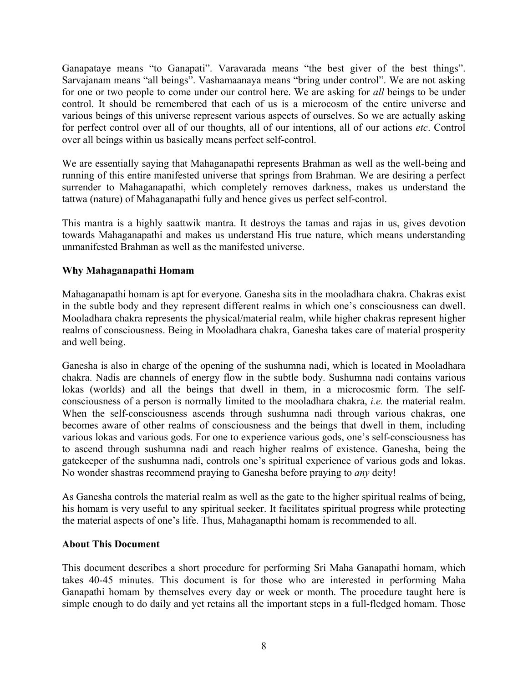Ganapataye means "to Ganapati". Varavarada means "the best giver of the best things". Sarvajanam means "all beings". Vashamaanaya means "bring under control". We are not asking for one or two people to come under our control here. We are asking for *all* beings to be under control. It should be remembered that each of us is a microcosm of the entire universe and various beings of this universe represent various aspects of ourselves. So we are actually asking for perfect control over all of our thoughts, all of our intentions, all of our actions *etc*. Control over all beings within us basically means perfect self-control.

We are essentially saying that Mahaganapathi represents Brahman as well as the well-being and running of this entire manifested universe that springs from Brahman. We are desiring a perfect surrender to Mahaganapathi, which completely removes darkness, makes us understand the tattwa (nature) of Mahaganapathi fully and hence gives us perfect self-control.

This mantra is a highly saattwik mantra. It destroys the tamas and rajas in us, gives devotion towards Mahaganapathi and makes us understand His true nature, which means understanding unmanifested Brahman as well as the manifested universe.

#### **Why Mahaganapathi Homam**

Mahaganapathi homam is apt for everyone. Ganesha sits in the mooladhara chakra. Chakras exist in the subtle body and they represent different realms in which one's consciousness can dwell. Mooladhara chakra represents the physical/material realm, while higher chakras represent higher realms of consciousness. Being in Mooladhara chakra, Ganesha takes care of material prosperity and well being.

Ganesha is also in charge of the opening of the sushumna nadi, which is located in Mooladhara chakra. Nadis are channels of energy flow in the subtle body. Sushumna nadi contains various lokas (worlds) and all the beings that dwell in them, in a microcosmic form. The selfconsciousness of a person is normally limited to the mooladhara chakra, *i.e.* the material realm. When the self-consciousness ascends through sushumna nadi through various chakras, one becomes aware of other realms of consciousness and the beings that dwell in them, including various lokas and various gods. For one to experience various gods, one's self-consciousness has to ascend through sushumna nadi and reach higher realms of existence. Ganesha, being the gatekeeper of the sushumna nadi, controls one's spiritual experience of various gods and lokas. No wonder shastras recommend praying to Ganesha before praying to *any* deity!

As Ganesha controls the material realm as well as the gate to the higher spiritual realms of being, his homam is very useful to any spiritual seeker. It facilitates spiritual progress while protecting the material aspects of one's life. Thus, Mahaganapthi homam is recommended to all.

#### **About This Document**

This document describes a short procedure for performing Sri Maha Ganapathi homam, which takes 40-45 minutes. This document is for those who are interested in performing Maha Ganapathi homam by themselves every day or week or month. The procedure taught here is simple enough to do daily and yet retains all the important steps in a full-fledged homam. Those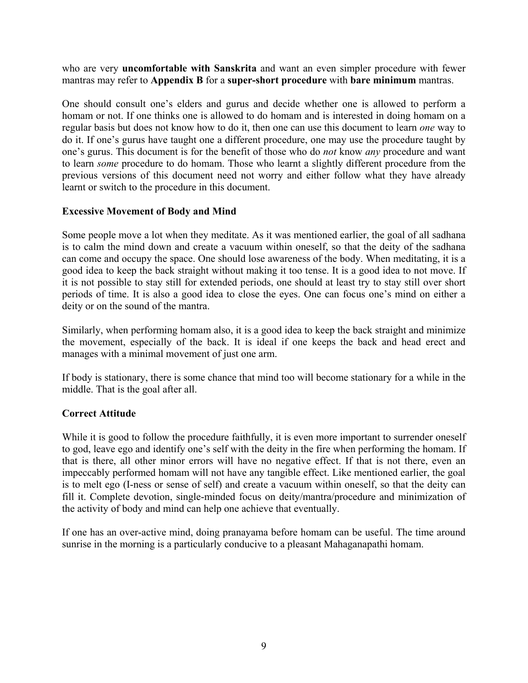who are very **uncomfortable with Sanskrita** and want an even simpler procedure with fewer mantras may refer to **Appendix B** for a **super-short procedure** with **bare minimum** mantras.

One should consult one's elders and gurus and decide whether one is allowed to perform a homam or not. If one thinks one is allowed to do homam and is interested in doing homam on a regular basis but does not know how to do it, then one can use this document to learn *one* way to do it. If one's gurus have taught one a different procedure, one may use the procedure taught by one's gurus. This document is for the benefit of those who do *not* know *any* procedure and want to learn *some* procedure to do homam. Those who learnt a slightly different procedure from the previous versions of this document need not worry and either follow what they have already learnt or switch to the procedure in this document.

#### **Excessive Movement of Body and Mind**

Some people move a lot when they meditate. As it was mentioned earlier, the goal of all sadhana is to calm the mind down and create a vacuum within oneself, so that the deity of the sadhana can come and occupy the space. One should lose awareness of the body. When meditating, it is a good idea to keep the back straight without making it too tense. It is a good idea to not move. If it is not possible to stay still for extended periods, one should at least try to stay still over short periods of time. It is also a good idea to close the eyes. One can focus one's mind on either a deity or on the sound of the mantra.

Similarly, when performing homam also, it is a good idea to keep the back straight and minimize the movement, especially of the back. It is ideal if one keeps the back and head erect and manages with a minimal movement of just one arm.

If body is stationary, there is some chance that mind too will become stationary for a while in the middle. That is the goal after all.

#### **Correct Attitude**

While it is good to follow the procedure faithfully, it is even more important to surrender oneself to god, leave ego and identify one's self with the deity in the fire when performing the homam. If that is there, all other minor errors will have no negative effect. If that is not there, even an impeccably performed homam will not have any tangible effect. Like mentioned earlier, the goal is to melt ego (I-ness or sense of self) and create a vacuum within oneself, so that the deity can fill it. Complete devotion, single-minded focus on deity/mantra/procedure and minimization of the activity of body and mind can help one achieve that eventually.

If one has an over-active mind, doing pranayama before homam can be useful. The time around sunrise in the morning is a particularly conducive to a pleasant Mahaganapathi homam.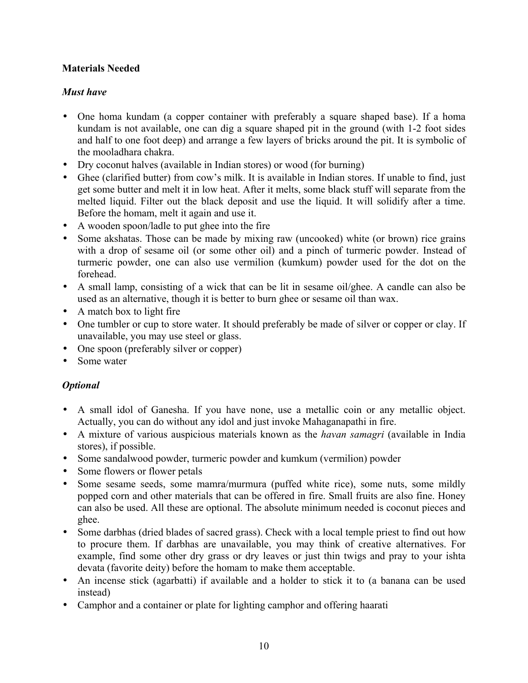#### **Materials Needed**

#### *Must have*

- One homa kundam (a copper container with preferably a square shaped base). If a homa kundam is not available, one can dig a square shaped pit in the ground (with 1-2 foot sides and half to one foot deep) and arrange a few layers of bricks around the pit. It is symbolic of the mooladhara chakra.
- Dry coconut halves (available in Indian stores) or wood (for burning)
- Ghee (clarified butter) from cow's milk. It is available in Indian stores. If unable to find, just get some butter and melt it in low heat. After it melts, some black stuff will separate from the melted liquid. Filter out the black deposit and use the liquid. It will solidify after a time. Before the homam, melt it again and use it.
- A wooden spoon/ladle to put ghee into the fire
- Some akshatas. Those can be made by mixing raw (uncooked) white (or brown) rice grains with a drop of sesame oil (or some other oil) and a pinch of turmeric powder. Instead of turmeric powder, one can also use vermilion (kumkum) powder used for the dot on the forehead.
- A small lamp, consisting of a wick that can be lit in sesame oil/ghee. A candle can also be used as an alternative, though it is better to burn ghee or sesame oil than wax.
- A match box to light fire
- One tumbler or cup to store water. It should preferably be made of silver or copper or clay. If unavailable, you may use steel or glass.
- One spoon (preferably silver or copper)
- Some water

#### *Optional*

- A small idol of Ganesha. If you have none, use a metallic coin or any metallic object. Actually, you can do without any idol and just invoke Mahaganapathi in fire.
- A mixture of various auspicious materials known as the *havan samagri* (available in India stores), if possible.
- Some sandalwood powder, turmeric powder and kumkum (vermilion) powder
- Some flowers or flower petals
- Some sesame seeds, some mamra/murmura (puffed white rice), some nuts, some mildly popped corn and other materials that can be offered in fire. Small fruits are also fine. Honey can also be used. All these are optional. The absolute minimum needed is coconut pieces and ghee.
- Some darbhas (dried blades of sacred grass). Check with a local temple priest to find out how to procure them. If darbhas are unavailable, you may think of creative alternatives. For example, find some other dry grass or dry leaves or just thin twigs and pray to your ishta devata (favorite deity) before the homam to make them acceptable.
- An incense stick (agarbatti) if available and a holder to stick it to (a banana can be used instead)
- Camphor and a container or plate for lighting camphor and offering haarati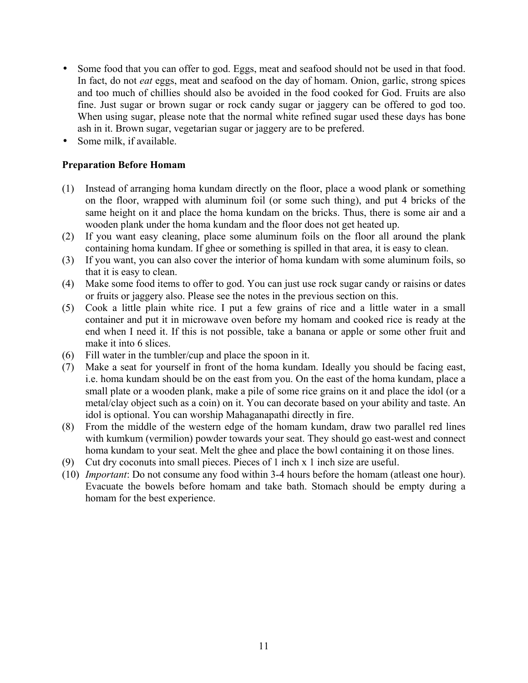- Some food that you can offer to god. Eggs, meat and seafood should not be used in that food. In fact, do not *eat* eggs, meat and seafood on the day of homam. Onion, garlic, strong spices and too much of chillies should also be avoided in the food cooked for God. Fruits are also fine. Just sugar or brown sugar or rock candy sugar or jaggery can be offered to god too. When using sugar, please note that the normal white refined sugar used these days has bone ash in it. Brown sugar, vegetarian sugar or jaggery are to be prefered.
- Some milk, if available.

#### **Preparation Before Homam**

- (1) Instead of arranging homa kundam directly on the floor, place a wood plank or something on the floor, wrapped with aluminum foil (or some such thing), and put 4 bricks of the same height on it and place the homa kundam on the bricks. Thus, there is some air and a wooden plank under the homa kundam and the floor does not get heated up.
- (2) If you want easy cleaning, place some aluminum foils on the floor all around the plank containing homa kundam. If ghee or something is spilled in that area, it is easy to clean.
- (3) If you want, you can also cover the interior of homa kundam with some aluminum foils, so that it is easy to clean.
- (4) Make some food items to offer to god. You can just use rock sugar candy or raisins or dates or fruits or jaggery also. Please see the notes in the previous section on this.
- (5) Cook a little plain white rice. I put a few grains of rice and a little water in a small container and put it in microwave oven before my homam and cooked rice is ready at the end when I need it. If this is not possible, take a banana or apple or some other fruit and make it into 6 slices.
- (6) Fill water in the tumbler/cup and place the spoon in it.
- (7) Make a seat for yourself in front of the homa kundam. Ideally you should be facing east, i.e. homa kundam should be on the east from you. On the east of the homa kundam, place a small plate or a wooden plank, make a pile of some rice grains on it and place the idol (or a metal/clay object such as a coin) on it. You can decorate based on your ability and taste. An idol is optional. You can worship Mahaganapathi directly in fire.
- (8) From the middle of the western edge of the homam kundam, draw two parallel red lines with kumkum (vermilion) powder towards your seat. They should go east-west and connect homa kundam to your seat. Melt the ghee and place the bowl containing it on those lines.
- (9) Cut dry coconuts into small pieces. Pieces of 1 inch x 1 inch size are useful.
- (10) *Important*: Do not consume any food within 3-4 hours before the homam (atleast one hour). Evacuate the bowels before homam and take bath. Stomach should be empty during a homam for the best experience.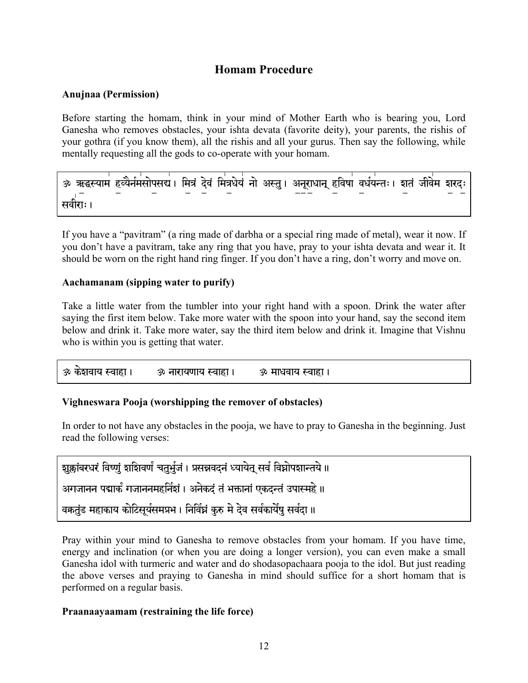### **Homam Procedure**

#### **Anujnaa (Permission)**

Before starting the homam, think in your mind of Mother Earth who is bearing you, Lord Ganesha who removes obstacles, your ishta devata (favorite deity), your parents, the rishis of your gothra (if you know them), all the rishis and all your gurus. Then say the following, while mentally requesting all the gods to co-operate with your homam.

सवीराः।

If you have a "pavitram" (a ring made of darbha or a special ring made of metal), wear it now. If you don't have a pavitram, take any ring that you have, pray to your ishta devata and wear it. It should be worn on the right hand ring finger. If you don't have a ring, don't worry and move on.

#### Aachamanam (sipping water to purify)

Take a little water from the tumbler into your right hand with a spoon. Drink the water after saying the first item below. Take more water with the spoon into your hand, say the second item below and drink it. Take more water, say the third item below and drink it. Imagine that Vishnu who is within you is getting that water.

```
<u>ॐ केञवाय स्वाहा ।</u>
                                <u>ॐ नारायणाय स्वाहा ।</u>
                                                                  <u>ॐ माधवाय स्वाहा ।</u>
```
#### Vighneswara Pooja (worshipping the remover of obstacles)

In order to not have any obstacles in the pooja, we have to pray to Ganesha in the beginning. Just read the following verses:

| शुक्लांबरधरं विष्णुं शशिवर्णं चतुर्भुजं । प्रसन्नवदनं ध्यायेत् सर्वं विघ्नोपशान्तये ॥ |  |
|---------------------------------------------------------------------------------------|--|
| अगजानन पद्मार्कं गजाननमहर्निशं। अनेकदं तं भक्तानां एकदन्तं उपास्महे ॥                 |  |
| वकतुंड महाकाय कोटिसूर्यसमप्रभ। निर्विघ्नं कुरु मे देव सर्वकार्येषु सर्वदा॥            |  |

Pray within your mind to Ganesha to remove obstacles from your homam. If you have time, energy and inclination (or when you are doing a longer version), you can even make a small Ganesha idol with turmeric and water and do shodasopachaara pooja to the idol. But just reading the above verses and praving to Ganesha in mind should suffice for a short homam that is performed on a regular basis.

#### Praanaayaamam (restraining the life force)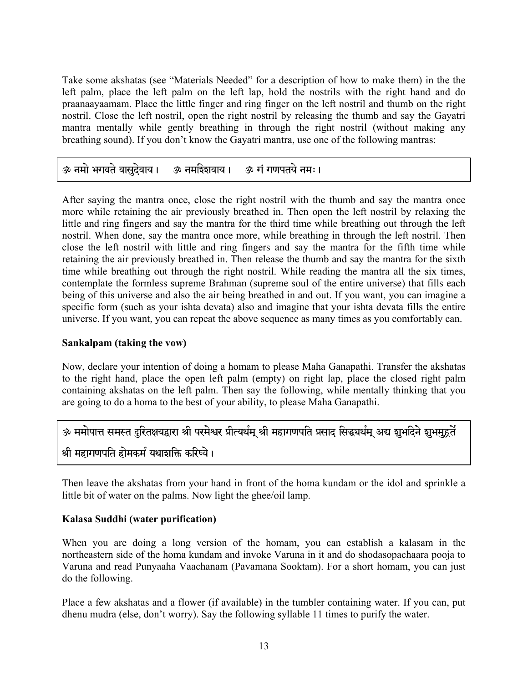Take some akshatas (see "Materials Needed" for a description of how to make them) in the the left palm, place the left palm on the left lap, hold the nostrils with the right hand and do praanaayaamam. Place the little finger and ring finger on the left nostril and thumb on the right nostril. Close the left nostril, open the right nostril by releasing the thumb and say the Gayatri mantra mentally while gently breathing in through the right nostril (without making any breathing sound). If you don't know the Gayatri mantra, use one of the following mantras:

## 30 नमो भगवते वासुदेवाय। अ नमरिशवाय। अ गं गणपतये नमः।

After saying the mantra once, close the right nostril with the thumb and say the mantra once more while retaining the air previously breathed in. Then open the left nostril by relaxing the little and ring fingers and say the mantra for the third time while breathing out through the left nostril. When done, say the mantra once more, while breathing in through the left nostril. Then close the left nostril with little and ring fingers and say the mantra for the fifth time while retaining the air previously breathed in. Then release the thumb and say the mantra for the sixth time while breathing out through the right nostril. While reading the mantra all the six times, contemplate the formless supreme Brahman (supreme soul of the entire universe) that fills each being of this universe and also the air being breathed in and out. If you want, you can imagine a specific form (such as your ishta devata) also and imagine that your ishta devata fills the entire universe. If you want, you can repeat the above sequence as many times as you comfortably can.

#### **Sankalpam (taking the vow)**

Now, declare your intention of doing a homam to please Maha Ganapathi. Transfer the akshatas to the right hand, place the open left palm (empty) on right lap, place the closed right palm containing akshatas on the left palm. Then say the following, while mentally thinking that you are going to do a homa to the best of your ability, to please Maha Ganapathi.

### <u>ॐ ममोपात्त समस्त दरितक्षयद्वारा श्री परमेश्वर प्रीत्यर्थम श्री महागणपति प्रसाद सिद्धवर्थम अद्य इाभदिने इाभमहर्ते</u>

### श्री महागणपति होमकर्म यथाशक्ति करिष्ये।

Then leave the akshatas from your hand in front of the homa kundam or the idol and sprinkle a little bit of water on the palms. Now light the ghee/oil lamp.

#### **Kalasa Suddhi (water purification)**

When you are doing a long version of the homam, you can establish a kalasam in the northeastern side of the homa kundam and invoke Varuna in it and do shodasopachaara pooja to Varuna and read Punyaaha Vaachanam (Pavamana Sooktam). For a short homam, you can just do the following.

Place a few akshatas and a flower (if available) in the tumbler containing water. If you can, put dhenu mudra (else, don't worry). Say the following syllable 11 times to purify the water.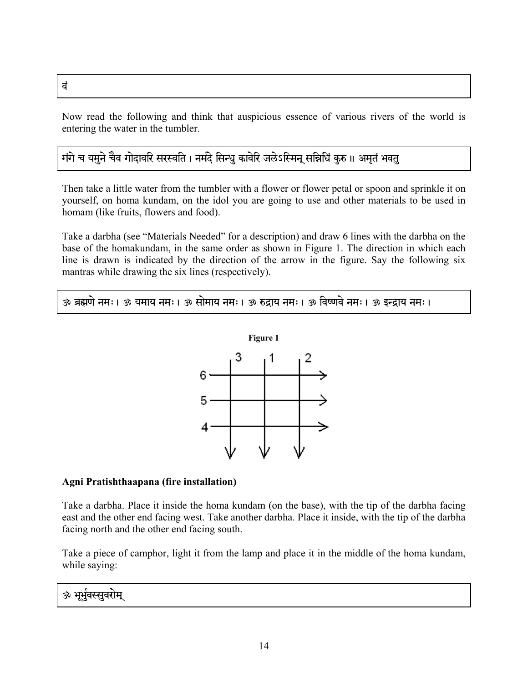#### $\dot{a}$

Now read the following and think that auspicious essence of various rivers of the world is entering the water in the tumbler.

### गंगे च यमुने चैव गोदावरि सरस्वति । नर्मदे सिन्धु कावेरि जलेऽस्मिन् सन्निधिं कुरु ॥ अमृतं भवतु

Then take a little water from the tumbler with a flower or flower petal or spoon and sprinkle it on yourself, on homa kundam, on the idol you are going to use and other materials to be used in homam (like fruits, flowers and food).

Take a darbha (see "Materials Needed" for a description) and draw 6 lines with the darbha on the base of the homakundam, in the same order as shown in Figure 1. The direction in which each line is drawn is indicated by the direction of the arrow in the figure. Say the following six mantras while drawing the six lines (respectively).

ॐ ब्रह्मणे नमः । ॐ यमाय नमः । ॐ सोमाय नमः । ॐ रुद्राय नमः । ॐ विष्णवे नमः । ॐ इन्द्राय नमः ।



#### **Agni Pratishthaapana (fire installation)**

Take a darbha. Place it inside the homa kundam (on the base), with the tip of the darbha facing east and the other end facing west. Take another darbha. Place it inside, with the tip of the darbha facing north and the other end facing south.

Take a piece of camphor, light it from the lamp and place it in the middle of the homa kundam, while saying:

### ॐ भूर्भुवस्सुवरोम्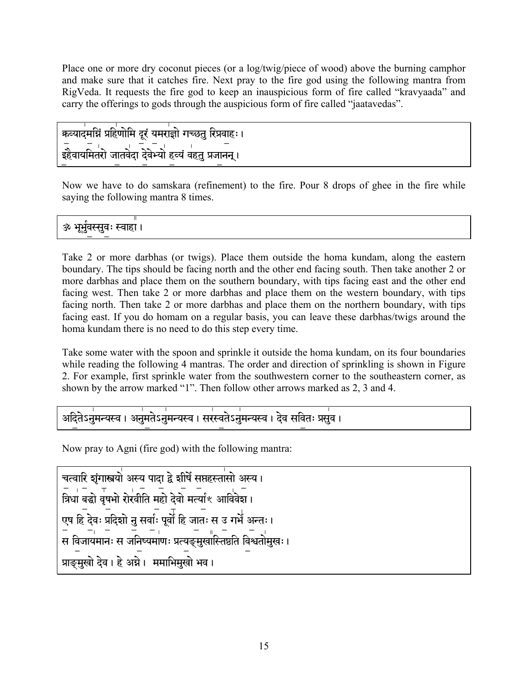Place one or more dry coconut pieces (or a log/twig/piece of wood) above the burning camphor and make sure that it catches fire. Next pray to the fire god using the following mantra from RigVeda. It requests the fire god to keep an inauspicious form of fire called "kravyaada" and carry the offerings to gods through the auspicious form of fire called "jaatavedas".

कव्यादमसिं प्रहिणोमि दूरं यमराज्ञो गच्छत रिप्रवाहः । \_\_ \_ \_ \_<br>इहैवायमितरो जातवेदा देवेभ्यो हृत्यं वहतु प्रजानन् ।

Now we have to do samskara (refinement) to the fire. Pour 8 drops of ghee in the fire while saying the following mantra 8 times.

ॐ भूर्भुवस्सूवः स्वाहा ।

Take 2 or more darbhas (or twigs). Place them outside the homa kundam, along the eastern boundary. The tips should be facing north and the other end facing south. Then take another 2 or more darbhas and place them on the southern boundary, with tips facing east and the other end facing west. Then take 2 or more darbhas and place them on the western boundary, with tips facing north. Then take 2 or more darbhas and place them on the northern boundary, with tips facing east. If you do homam on a regular basis, you can leave these darbhas/twigs around the homa kundam there is no need to do this step every time.

Take some water with the spoon and sprinkle it outside the homa kundam, on its four boundaries while reading the following 4 mantras. The order and direction of sprinkling is shown in Figure 2. For example, first sprinkle water from the southwestern corner to the southeastern corner, as shown by the arrow marked "1". Then follow other arrows marked as 2, 3 and 4.

्<br>अदितेऽनुमन्यस्व । अनुमतेऽनुमन्यस्व । सरस्वतेऽनुमन्यस्व । देव सवितः प्रसुव ।

Now pray to Agni (fire god) with the following mantra:

चत्वारि शृंगास्त्रयो अस्य पादा द्वे शीर्षे सप्तहस्तासो अस्य ।  $\begin{bmatrix} 1 & -1 & -1 \\ 2 & 3 & 7 \end{bmatrix}$  ,  $\begin{bmatrix} 1 & -1 & -1 \\ 2 & 3 & 7 \end{bmatrix}$  ,  $\begin{bmatrix} 1 & -1 & -1 \\ 2 & 3 & 7 \end{bmatrix}$  ,  $\begin{bmatrix} 1 & -1 & 0 \\ 0 & 0 & 7 \end{bmatrix}$ ण्य हि देवः प्रदिशो नु सर्वाः पूर्वो हि जातः स उ गर्भे अन्तः । -ं निकार नदिन्ती का सार्थ का सार्थ करता है।<br>संविजायमानः संजनिष्यमाणः प्रत्यङ्मुखास्तिष्ठति विश्वतोमुखः । प्राङ्मुखो देव। हे अग्ने। ममाभिमुखो भव।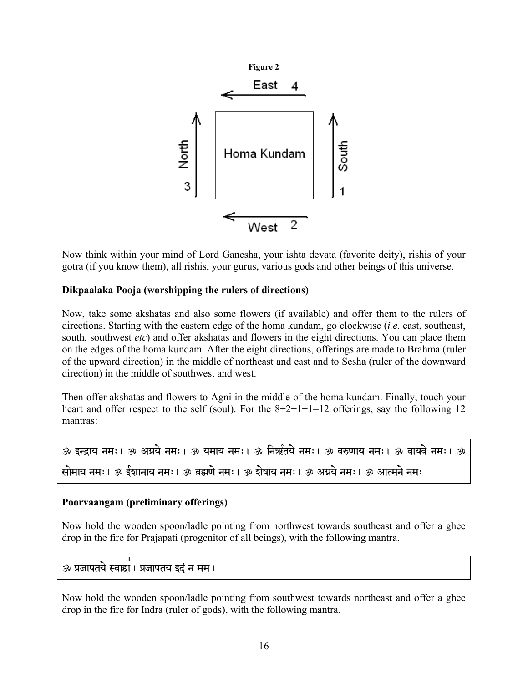

Now think within your mind of Lord Ganesha, your ishta devata (favorite deity), rishis of your gotra (if you know them), all rishis, your gurus, various gods and other beings of this universe.

#### **Dikpaalaka Pooja (worshipping the rulers of directions)**

Now, take some akshatas and also some flowers (if available) and offer them to the rulers of directions. Starting with the eastern edge of the homa kundam, go clockwise (*i.e.* east, southeast, south, southwest *etc*) and offer akshatas and flowers in the eight directions. You can place them on the edges of the homa kundam. After the eight directions, offerings are made to Brahma (ruler of the upward direction) in the middle of northeast and east and to Sesha (ruler of the downward direction) in the middle of southwest and west.

Then offer akshatas and flowers to Agni in the middle of the homa kundam. Finally, touch your heart and offer respect to the self (soul). For the  $8+2+1+1=12$  offerings, say the following 12 mantras:

| ॐ इन्द्राय नमः। ॐ अग्नये नमः। ॐ यमाय नमः। ॐ निर्ऋतये नमः। ॐ वरुणाय नमः। ॐ वायवे नमः। ॐ |  |  |
|----------------------------------------------------------------------------------------|--|--|
| सोमाय नमः। ॐ ईशानाय नमः। ॐ ब्रह्मणे नमः। ॐ शेषाय नमः। ॐ अग्नये नमः। ॐ आत्मने नमः।      |  |  |

#### **Poorvaangam (preliminary offerings)**

Now hold the wooden spoon/ladle pointing from northwest towards southeast and offer a ghee drop in the fire for Prajapati (progenitor of all beings), with the following mantra.

ॐ प्रजापतये स्वाहा। प्रजापतय इदं न मम।

Now hold the wooden spoon/ladle pointing from southwest towards northeast and offer a ghee drop in the fire for Indra (ruler of gods), with the following mantra.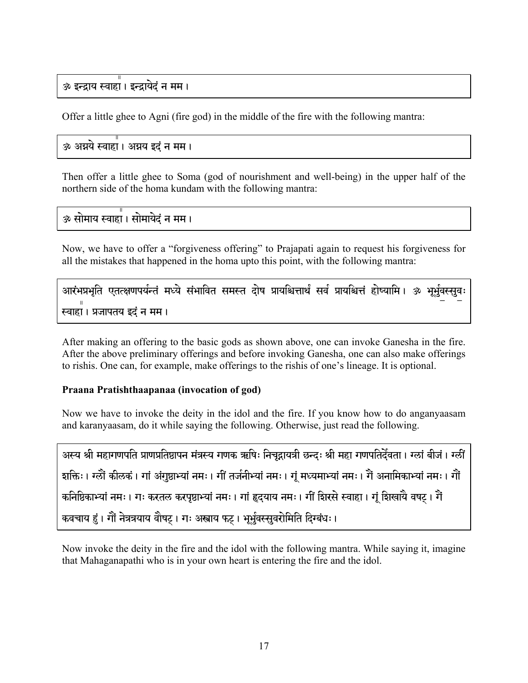### ॐ इन्द्राय स्वाहा। इन्द्रायेदं न मम।

Offer a little ghee to Agni (fire god) in the middle of the fire with the following mantra:

#### ॐ अग्नये स्वाहा। अग्नय इदं न मम।

Then offer a little ghee to Soma (god of nourishment and well-being) in the upper half of the northern side of the homa kundam with the following mantra:

ॐ सोमाय स्वाहा। सोमायेदं न मम।

Now, we have to offer a "forgiveness offering" to Prajapati again to request his forgiveness for all the mistakes that happened in the homa upto this point, with the following mantra:

```
आरंभप्रभृति एतत्क्षणपर्यन्तं मध्ये संभावित समस्त दोष प्रायश्चित्तार्थं सर्व प्रायश्चित्तं होष्यामि। ॐ भूर्भुवस्सुवः
स्वाहा। प्रजापतय इदं न मम।
```
After making an offering to the basic gods as shown above, one can invoke Ganesha in the fire. After the above preliminary offerings and before invoking Ganesha, one can also make offerings to rishis. One can, for example, make offerings to the rishis of one's lineage. It is optional.

#### Praana Pratishthaapanaa (invocation of god)

Now we have to invoke the deity in the idol and the fire. If you know how to do anganyaasam and karanyaasam, do it while saying the following. Otherwise, just read the following.

```
अस्य श्री महागणपति प्राणप्रतिष्ठापन मंत्रस्य गणक ऋषिः निचुद्रायत्री छन्दः श्री महा गणपतिर्देवता। ग्लां बीजं। ग्लीं
शक्तिः । ग्ल्रैं कीलकं । गां अंगुष्ठाभ्यां नमः । गीं तर्जनीभ्यां नमः । गूं मध्यमाभ्यां नमः । गैं अनामिकाभ्यां नमः । गौं
कनिष्ठिकाभ्यां नमः । गः करतल करपृष्ठाभ्यां नमः । गां हृदयाय नमः । गीं शिरसे स्वाहा । गूं शिखायै वषट् । गें
कवचाय हुं। गों नेत्रत्रयाय वोषट् । गः अस्त्राय फट् । भूर्भुवस्सुवरोमिति दिग्बंधः ।
```
Now invoke the deity in the fire and the idol with the following mantra. While saying it, imagine that Mahaganapathi who is in your own heart is entering the fire and the idol.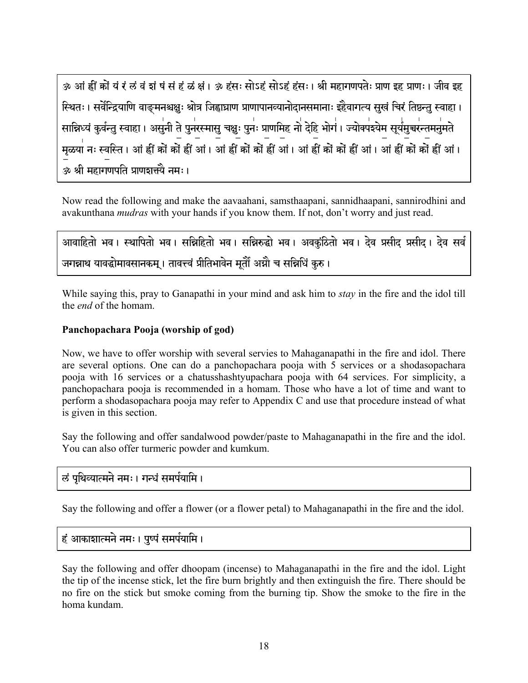30 आं ह्रीं कों यं रं लं वं शं षं सं हं ळं क्षं । 30 हंसः सोऽहं सोऽहं हंसः । श्री महागणपतेः प्राण इह प्राणः । जीव इह स्थितः । सर्वेन्द्रियाणि वाङ्मनश्चक्षुः श्रोत्र जिह्वाघ्राण प्राणापानव्यानोदानसमानाः इहैवागत्य सुखं चिरं तिष्ठन्तु स्वाहा । सान्निध्यं कुर्वन्तु स्वाहा। असुनी ते पुनरस्मासु चक्षुः पुनः प्राणमिह नो देहि भोगं। ज्योक्पश्येम सूर्यमुच्चरन्तमनुमते मळया नः स्वस्ति । आं हीं कों कों हीं आं । आं हीं कों कों हीं आं । आं हीं कों कों हीं आं । आं हीं कों कों हीं आं । ॐ श्री महागणपति प्राणशक्त्यै नमः।

Now read the following and make the aavaahani, samsthaapani, sannidhaapani, sannirodhini and avakunthana *mudras* with your hands if you know them. If not, don't worry and just read.

आवाहितो भव । स्थापितो भव । सन्निहितो भव । सन्निरुद्धो भव । अवकंठितो भव । देव प्रसीद प्रसीद । देव सर्व जगन्नाथ यावद्धोमावसानकम् । तावत्त्वं प्रीतिभावेन मूर्तौं अग्नौ च सन्निधिं कुरु ।

While saying this, pray to Ganapathi in your mind and ask him to *stay* in the fire and the idol till the *end* of the homam

#### Panchopachara Pooja (worship of god)

Now, we have to offer worship with several servies to Mahaganapathi in the fire and idol. There are several options. One can do a panchopachara pooja with 5 services or a shodasopachara pooja with 16 services or a chatus shashty up achaea pooja with 64 services. For simplicity, a panchopachara pooja is recommended in a homam. Those who have a lot of time and want to perform a shodasopachara pooja may refer to Appendix C and use that procedure instead of what is given in this section.

Say the following and offer sandalwood powder/paste to Mahaganapathi in the fire and the idol. You can also offer turmeric powder and kumkum.

### लं पृथिव्यात्मने नमः । गन्धं समर्पयामि ।

Say the following and offer a flower (or a flower petal) to Mahaganapathi in the fire and the idol.

### हं आकाशात्मने नमः । पुष्पं समर्पयामि ।

Say the following and offer dhoopam (incense) to Mahaganapathi in the fire and the idol. Light the tip of the incense stick, let the fire burn brightly and then extinguish the fire. There should be no fire on the stick but smoke coming from the burning tip. Show the smoke to the fire in the homa kundam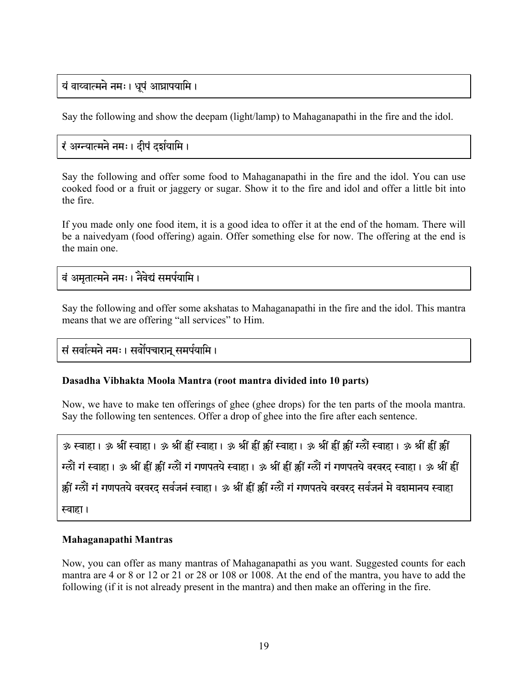### यं वाय्वात्मने नमः । धूपं आघ्रापयामि ।

Say the following and show the deepam (light/lamp) to Mahaganapathi in the fire and the idol.

### रं अग्न्यात्मने नमः । दीपं दर्शयामि ।

Say the following and offer some food to Mahaganapathi in the fire and the idol. You can use cooked food or a fruit or jaggery or sugar. Show it to the fire and idol and offer a little bit into the fire.

If you made only one food item, it is a good idea to offer it at the end of the homam. There will be a naivedyam (food offering) again. Offer something else for now. The offering at the end is the main one.

### वं अमतात्मने नमः । नैवेद्यं समर्पयामि ।

Say the following and offer some akshatas to Mahaganapathi in the fire and the idol. This mantra means that we are offering "all services" to Him.

सं सर्वात्मने नमः । सर्वोपचारान् समर्पयामि ।

#### **Dasadha Vibhakta Moola Mantra (root mantra divided into 10 parts)**

Now, we have to make ten offerings of ghee (ghee drops) for the ten parts of the moola mantra. Say the following ten sentences. Offer a drop of ghee into the fire after each sentence.

ॐ स्वाहा। ॐ श्रीं स्वाहा। ॐ श्रीं ह्रीं स्वाहा। ॐ श्रीं ह्रीं क्कीं स्वाहा। ॐ श्रीं ह्रीं क्लीं स्वाहा। ॐ श्रीं ह्रीं क्कीं ग्लों गं स्वाहा। ॐ श्रीं ह्रीं क्रीं ग्लों गं गणपतये स्वाहा। ॐ श्रीं ह्रीं क्रीं ग्लों गं गणपतये वरवरद स्वाहा। ॐ श्रीं ह्रीं क्कीं ग्लौं गं गणपतये वरवरद सर्वजनं स्वाहा। ॐ श्रीं ह्रीं क्कीं ग्लौं गं गणपतये वरवरद सर्वजनं मे वशमानय स्वाहा रवाहा।

#### **Mahaganapathi Mantras**

Now, you can offer as many mantras of Mahaganapathi as you want. Suggested counts for each mantra are 4 or 8 or 12 or 21 or 28 or 108 or 1008. At the end of the mantra, you have to add the following (if it is not already present in the mantra) and then make an offering in the fire.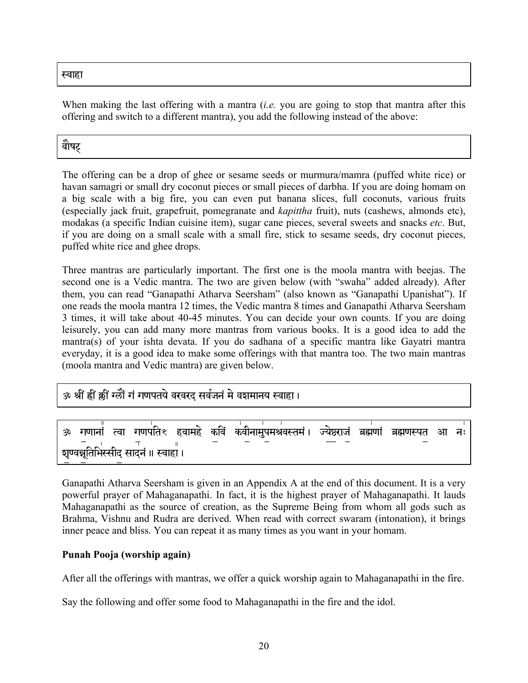स्वाहा

When making the last offering with a mantra (*i.e.* you are going to stop that mantra after this offering and switch to a different mantra), you add the following instead of the above:

# वौषट्

The offering can be a drop of ghee or sesame seeds or murmura/mamra (puffed white rice) or havan samagri or small dry coconut pieces or small pieces of darbha. If you are doing homam on a big scale with a big fire, you can even put banana slices, full coconuts, various fruits (especially jack fruit, grapefruit, pomegranate and *kapittha* fruit), nuts (cashews, almonds etc), modakas (a specific Indian cuisine item), sugar cane pieces, several sweets and snacks *etc*. But, if you are doing on a small scale with a small fire, stick to sesame seeds, dry coconut pieces, puffed white rice and ghee drops.

Three mantras are particularly important. The first one is the moola mantra with beejas. The second one is a Vedic mantra. The two are given below (with "swaha" added already). After them, you can read "Ganapathi Atharva Seersham" (also known as "Ganapathi Upanishat"). If one reads the moola mantra 12 times, the Vedic mantra 8 times and Ganapathi Atharva Seersham 3 times, it will take about 40-45 minutes. You can decide your own counts. If you are doing leisurely, you can add many more mantras from various books. It is a good idea to add the mantra(s) of your ishta devata. If you do sadhana of a specific mantra like Gayatri mantra everyday, it is a good idea to make some offerings with that mantra too. The two main mantras (moola mantra and Vedic mantra) are given below.

### ॐ श्रीं ह्रीं क्रीं ग्लैं गं गणपतये वरवरद सर्वजनं मे वशमानय स्वाहा।

|  |                                       |  | ॐ गणानां त्वा गणपतिः हवामहे कविं कवीनामुपमश्रवस्तमं। ज्येष्ठराजं ब्रह्मणां ब्रह्मणस्पत आ नः |  |  |  |
|--|---------------------------------------|--|---------------------------------------------------------------------------------------------|--|--|--|
|  | शृण्वन्नूतिभिस्सीद् सादनं ॥ स्वाहां । |  |                                                                                             |  |  |  |

Ganapathi Atharva Seersham is given in an Appendix A at the end of this document. It is a very powerful prayer of Mahaganapathi. In fact, it is the highest prayer of Mahaganapathi. It lauds Mahaganapathi as the source of creation, as the Supreme Being from whom all gods such as Brahma, Vishnu and Rudra are derived. When read with correct swaram (intonation), it brings inner peace and bliss. You can repeat it as many times as you want in your homam.

#### **Punah Pooja (worship again)**

After all the offerings with mantras, we offer a quick worship again to Mahaganapathi in the fire.

Say the following and offer some food to Mahaganapathi in the fire and the idol.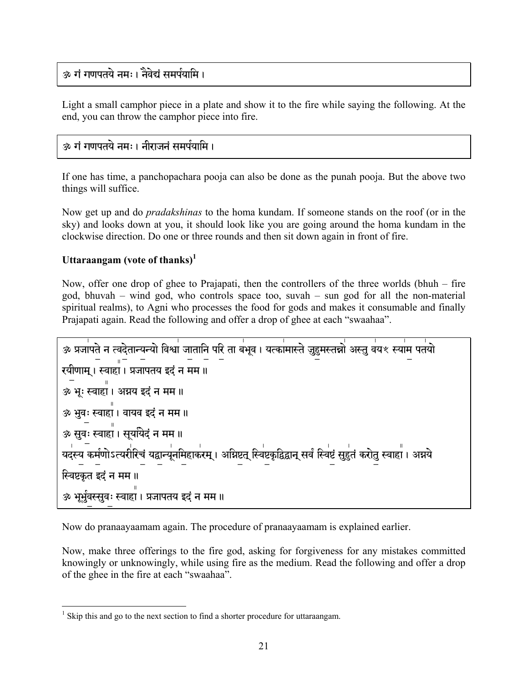### <u>ळ गं गणपतये नमः। तैवेदां समर्पयामि ।</u>

Light a small camphor piece in a plate and show it to the fire while saying the following. At the end, you can throw the camphor piece into fire.

#### ॐ गं गणपतये नमः। नीराजनं समर्पयामि ।

If one has time, a panchopachara pooja can also be done as the punah pooja. But the above two things will suffice.

Now get up and do *pradakshinas* to the homa kundam. If someone stands on the roof (or in the sky) and looks down at you, it should look like you are going around the homa kundam in the clockwise direction. Do one or three rounds and then sit down again in front of fire.

#### Uttaraangam (vote of thanks)<sup>1</sup>

Now, offer one drop of ghee to Prajapati, then the controllers of the three worlds (bhuh  $-$  fire god, bhuvah – wind god, who controls space too, suvah – sun god for all the non-material spiritual realms), to Agni who processes the food for gods and makes it consumable and finally Prajapati again. Read the following and offer a drop of ghee at each "swaahaa".



Now do pranaayaamam again. The procedure of pranaayaamam is explained earlier.

Now, make three offerings to the fire god, asking for forgiveness for any mistakes committed knowingly or unknowingly, while using fire as the medium. Read the following and offer a drop of the ghee in the fire at each "swaahaa".

 $<sup>1</sup>$  Skip this and go to the next section to find a shorter procedure for uttaraangam.</sup>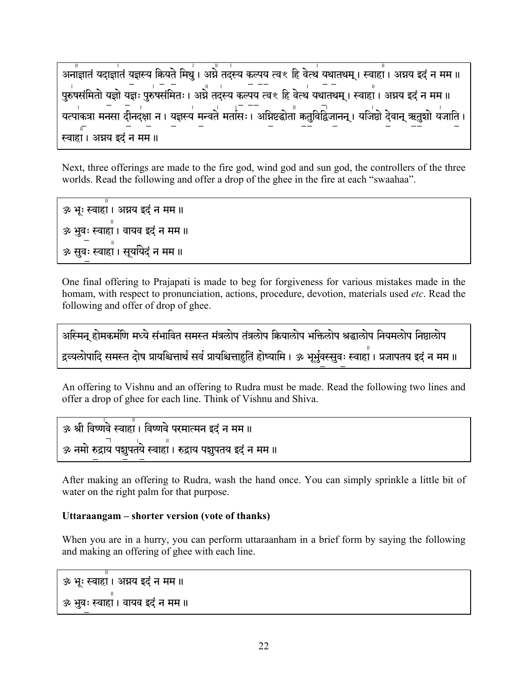```
पुरुषसंमितो यज्ञो यज्ञः पुरुषसंमितः । अग्ने तदस्य कल्पय त्वश्ल् हि वेत्थं यथातथम् । स्वाहां । अग्नय इदं न मम ॥
यत्पाकत्रा मनसा दीनदक्षा न । यज्ञस्य मन्वते मतासः । अग्निष्टद्धोता कतुविद्विजानन् । यजिष्ठो देवान् ऋतुशो यजाति ।
स्वाहा । अग्नय इदं न मम ॥
```
Next, three offerings are made to the fire god, wind god and sun god, the controllers of the three worlds. Read the following and offer a drop of the ghee in the fire at each "swaahaa".

ॐ भूः स्वाहा । अग्नय इदं न मम ॥ ॐ भुवः स्वाहा । वायव इदं न मम ॥ ॐ सुवः स्वाहा । सुययिदं न मम ॥

One final offering to Prajapati is made to beg for forgiveness for various mistakes made in the homam, with respect to pronunciation, actions, procedure, devotion, materials used *etc*. Read the following and offer of drop of ghee.

```
अस्मिन् होमकर्माण मध्ये संभावित समस्त मंत्रलोप तंत्रलोप कियालोप भक्तिलोप श्रद्धालोप नियमलोप निष्ठालोप
द्रव्यलोपादि समस्त दोष प्रायश्चित्तार्थं सर्व प्रायश्चित्ताहृतिं होष्यामि । ॐ भूर्भुवस्सुवः स्वाहा । प्रजापतय इदं न मम ॥
```
An offering to Vishnu and an offering to Rudra must be made. Read the following two lines and offer a drop of ghee for each line. Think of Vishnu and Shiva.

ॐ श्री विष्णवे स्वाहा । विष्णवे परमात्मन इदं न मम ॥ ॐ नमो रुद्रायं पशुपतये स्वाहां । रुद्राय पशुपतय इदं न मम ॥

After making an offering to Rudra, wash the hand once. You can simply sprinkle a little bit of water on the right palm for that purpose.

#### Uttaraangam – shorter version (vote of thanks)

When you are in a hurry, you can perform uttaraan ham in a brief form by saying the following and making an offering of ghee with each line.

ॐ भूः स्वाहा। अग्नय इदं न मम॥ ॐ भुवः स्वाहा । वायव इदं न मम ॥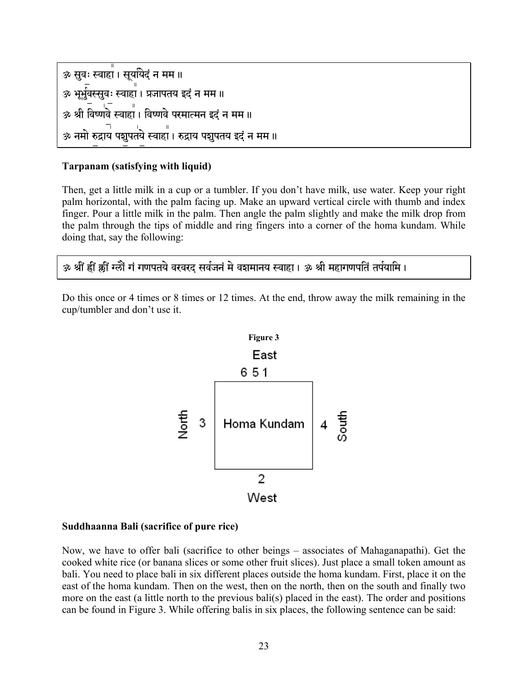```
ॐ सुवः स्वाहा । सुर्यायेदं न मम ॥
ॐ भूर्भुवस्सूवः स्वाहा । प्रजापतय इदं न मम ॥
ॐ श्री विष्णवे स्वाहा। विष्णवे परमात्मन इदं न मम॥
ॐ नमो रुद्राय पशुपतये स्वाहा । रुद्राय पशुपतय इदं न मम ॥
```
#### **Tarpanam (satisfying with liquid)**

Then, get a little milk in a cup or a tumbler. If you don't have milk, use water. Keep your right palm horizontal, with the palm facing up. Make an upward vertical circle with thumb and index finger. Pour a little milk in the palm. Then angle the palm slightly and make the milk drop from the palm through the tips of middle and ring fingers into a corner of the homa kundam. While doing that, say the following:

ॐ श्रीं ह्वीं झ्वीं ग्लों गं गणपतये वरवरद सर्वजनं मे वशमानय स्वाहा । ॐ श्री महागणपतिं तर्पयामि ।

Do this once or 4 times or 8 times or 12 times. At the end, throw away the milk remaining in the cup/tumbler and don't use it.



#### **Suddhaanna Bali (sacrifice of pure rice)**

Now, we have to offer bali (sacrifice to other beings – associates of Mahaganapathi). Get the cooked white rice (or banana slices or some other fruit slices). Just place a small token amount as bali. You need to place bali in six different places outside the homa kundam. First, place it on the east of the homa kundam. Then on the west, then on the north, then on the south and finally two more on the east (a little north to the previous bali(s) placed in the east). The order and positions can be found in Figure 3. While offering balis in six places, the following sentence can be said: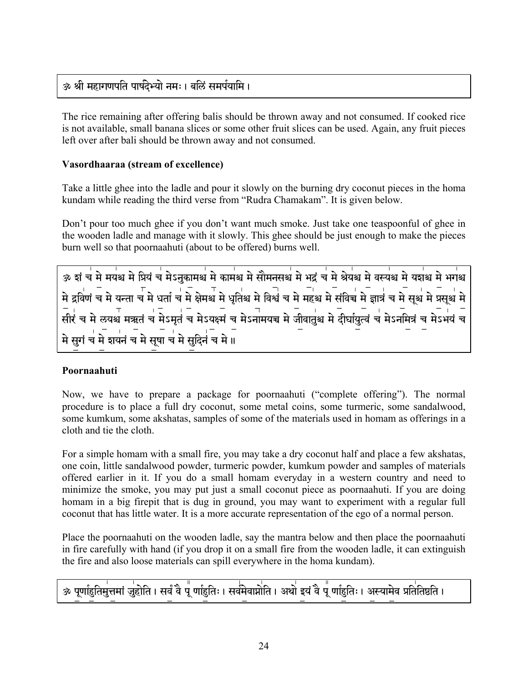### ॐ श्री महागणपति पार्षदेभ्यो नमः । बलिं समर्पयामि ।

The rice remaining after offering balis should be thrown away and not consumed. If cooked rice is not available, small banana slices or some other fruit slices can be used. Again, any fruit pieces left over after ball should be thrown away and not consumed.

#### Vasordhaaraa (stream of excellence)

Take a little ghee into the ladle and pour it slowly on the burning dry coconut pieces in the homa kundam while reading the third verse from "Rudra Chamakam". It is given below.

Don't pour too much ghee if you don't want much smoke. Just take one teaspoonful of ghee in the wooden ladle and manage with it slowly. This ghee should be just enough to make the pieces burn well so that poornaahuti (about to be offered) burns well.

्यः । पत्रा पर्वत्र मे प्रियं च मेऽनुकामश्च मे कामश्च मे सौमनसश्च मे भद्रं च मे श्रेयश्च मे वस्यश्च मे यशश्च मे<br>अ शं च मे मयश्च मे प्रियं च मेऽनुकामश्च मे कामश्च मे सौमनसश्च मे भद्रं च मे श्रेयश्च मे वस्यश्च मे यशश्च मे मे द्रविणं च मे यन्ता च मे धर्ता च मे क्षेमश्च मे धृतिश्च मे विश्वं च मे महश्च मे संविच्च मे ज्ञात्रं च मे सूर्थ मे प्रसूर्थ मे .<br>मे सुगं च मे शयनं च मे सूषा च मे सुदिनं च मे ॥

#### Poornaahuti

Now, we have to prepare a package for poornaahuti ("complete offering"). The normal procedure is to place a full dry coconut, some metal coins, some turmeric, some sandalwood, some kumkum, some akshatas, samples of some of the materials used in homam as offerings in a cloth and tie the cloth.

For a simple homam with a small fire, you may take a dry coconut half and place a few akshatas, one coin, little sandalwood powder, turmeric powder, kumkum powder and samples of materials offered earlier in it. If you do a small homam everyday in a western country and need to minimize the smoke, you may put just a small coconut piece as poornaahuti. If you are doing homam in a big firepit that is dug in ground, you may want to experiment with a regular full coconut that has little water. It is a more accurate representation of the ego of a normal person.

Place the poornaahuti on the wooden ladle, say the mantra below and then place the poornaahuti in fire carefully with hand (if you drop it on a small fire from the wooden ladle, it can extinguish the fire and also loose materials can spill everywhere in the homa kundam).

# ॐ पूर्णाहृतिमुत्तमां जुहोति । सर्वं वै पू र्णाहृतिः । सर्वमेवाप्नोति । अथो इयं वै पू र्णाहृतिः । अस्यामेव प्रतितिष्ठति ।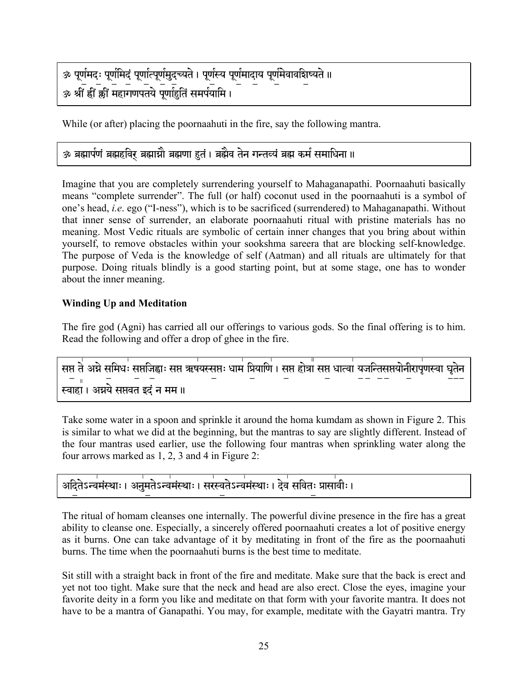```
ॐ पूर्णमदः पूर्णमिदं पूर्णात्पूर्णमुदच्यते । पूर्णस्य पूर्णमादाय पूर्णमेवावशिष्यते ॥
्र<br>ॐ श्रीं ह्रीं क्रीं महागणपतये पूर्णाहुतिं समर्पयामि ।
```
While (or after) placing the poornaahuti in the fire, say the following mantra.

### ॐ ब्रह्मार्पणं ब्रह्महविर ब्रह्मास्नौ ब्रह्मणा हुतं । ब्रह्मैव तेन गन्तव्यं ब्रह्म कर्म समाधिना ॥

Imagine that you are completely surrendering yourself to Mahaganapathi. Poornaahuti basically means "complete surrender". The full (or half) coconut used in the poornaahuti is a symbol of one's head, *i.e.* ego ("I-ness"), which is to be sacrificed (surrendered) to Mahaganapathi. Without that inner sense of surrender, an elaborate poornaahuti ritual with pristine materials has no meaning. Most Vedic rituals are symbolic of certain inner changes that you bring about within yourself, to remove obstacles within your sookshma sareera that are blocking self-knowledge. The purpose of Veda is the knowledge of self (Aatman) and all rituals are ultimately for that purpose. Doing rituals blindly is a good starting point, but at some stage, one has to wonder about the inner meaning.

#### **Winding Up and Meditation**

The fire god (Agni) has carried all our offerings to various gods. So the final offering is to him. Read the following and offer a drop of ghee in the fire.

```
सप्त ते अग्ने समिधः सप्तजिह्वाः सप्त ऋषयस्सप्तः धाम प्रियाणि । सप्त होत्रा सप्त धात्वा यजन्तिसप्तयोनीरापृणस्वा घृतेन
स्वाहा । अग्नये सप्तवत इदं न मम ॥
```
Take some water in a spoon and sprinkle it around the homa kumdam as shown in Figure 2. This is similar to what we did at the beginning, but the mantras to say are slightly different. Instead of the four mantras used earlier, use the following four mantras when sprinkling water along the four arrows marked as 1, 2, 3 and 4 in Figure 2:

```
्<br>अदितेऽन्वमंस्थाः । अनुमतेऽन्वमंस्थाः । सरस्वतेऽन्वमंस्थाः । देवं सवितः प्रासावीः ।
```
The ritual of homam cleanses one internally. The powerful divine presence in the fire has a great ability to cleanse one. Especially, a sincerely offered poornaahuti creates a lot of positive energy as it burns. One can take advantage of it by meditating in front of the fire as the poornaahuti burns. The time when the poornaahuti burns is the best time to meditate.

Sit still with a straight back in front of the fire and meditate. Make sure that the back is erect and yet not too tight. Make sure that the neck and head are also erect. Close the eyes, imagine your favorite deity in a form you like and meditate on that form with your favorite mantra. It does not have to be a mantra of Ganapathi. You may, for example, meditate with the Gayatri mantra. Try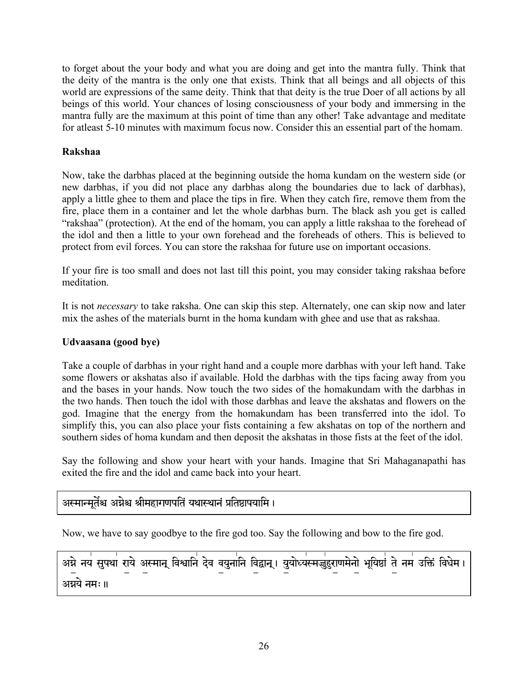to forget about the your body and what you are doing and get into the mantra fully. Think that the deity of the mantra is the only one that exists. Think that all beings and all objects of this world are expressions of the same deity. Think that that deity is the true Doer of all actions by all beings of this world. Your chances of losing consciousness of your body and immersing in the mantra fully are the maximum at this point of time than any other! Take advantage and meditate for atleast 5-10 minutes with maximum focus now. Consider this an essential part of the homam.

#### **Rakshaa**

Now, take the darbhas placed at the beginning outside the homa kundam on the western side (or new darbhas, if you did not place any darbhas along the boundaries due to lack of darbhas), apply a little ghee to them and place the tips in fire. When they catch fire, remove them from the fire, place them in a container and let the whole darbhas burn. The black ash you get is called "rakshaa" (protection). At the end of the homam, you can apply a little rakshaa to the forehead of the idol and then a little to your own forehead and the foreheads of others. This is believed to protect from evil forces. You can store the rakshaa for future use on important occasions.

If your fire is too small and does not last till this point, you may consider taking rakshaa before meditation.

It is not *necessary* to take raksha. One can skip this step. Alternately, one can skip now and later mix the ashes of the materials burnt in the homa kundam with ghee and use that as rakshaa.

#### **Udvaasana (good bye)**

Take a couple of darbhas in your right hand and a couple more darbhas with your left hand. Take some flowers or akshatas also if available. Hold the darbhas with the tips facing away from you and the bases in your hands. Now touch the two sides of the homakundam with the darbhas in the two hands. Then touch the idol with those darbhas and leave the akshatas and flowers on the god. Imagine that the energy from the homakundam has been transferred into the idol. To simplify this, you can also place your fists containing a few akshatas on top of the northern and southern sides of homa kundam and then deposit the akshatas in those fists at the feet of the idol.

Say the following and show your heart with your hands. Imagine that Sri Mahaganapathi has exited the fire and the idol and came back into your heart.

### अस्मान्मर्तेश्च अग्नेश्च श्रीमहागणपतिं यथास्थानं प्रतिष्ठापयामि ।

Now, we have to say goodbye to the fire god too. Say the following and bow to the fire god.

अग्ने नयं सुपथां राये अस्मान् विश्वानिं देव वयुनानि विद्वान् । युयोध्यस्मज्जुंहुराणमेनो भूयिष्ठां ते नमं उक्तिं विधेम । अग्नये नमः॥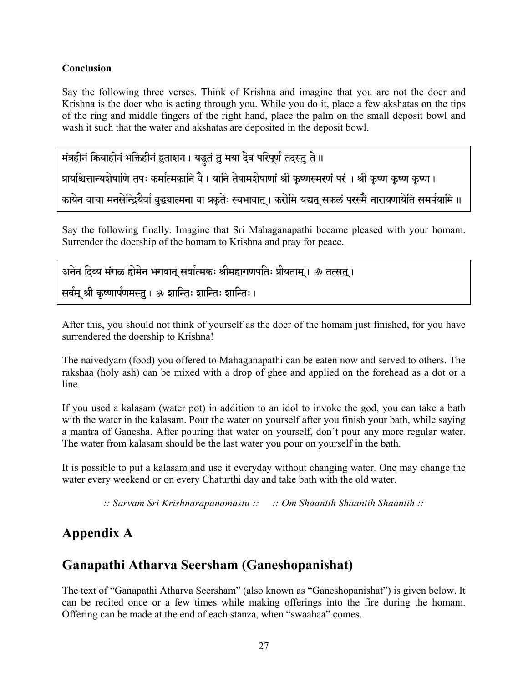#### **Conclusion**

Say the following three verses. Think of Krishna and imagine that you are not the doer and Krishna is the doer who is acting through you. While you do it, place a few akshatas on the tips of the ring and middle fingers of the right hand, place the palm on the small deposit bowl and wash it such that the water and akshatas are deposited in the deposit bowl.

मंत्रहीनं कियाहीनं भक्तिहीनं हुताशन। यद्धतं तु मया देव परिपूर्णं तदस्तु ते ॥

प्रायश्चित्तान्यशेषाणि तपः कर्मात्मकानि वै। यानि तेषामशेषाणां श्री कृष्णस्मरणं परं ॥ श्री कृष्ण कृष्ण कृष्ण ।

कायेन वाचा मनसेन्द्रियैर्वा बुद्ध्यात्मना वा प्रकृतेः स्वभावात् । करोमि यद्यत् सकलं परस्मै नारायणायेति समर्पयामि ॥

Say the following finally. Imagine that Sri Mahaganapathi became pleased with your homam. Surrender the doership of the homam to Krishna and pray for peace.

```
अनेन दिव्य मंगळ होमेन भगवान् सर्वात्मकः श्रीमहागणपतिः प्रीयताम् । ॐ तत्सत् ।
सर्वम् श्री कृष्णार्पणमस्तु । ॐ शान्तिः शान्तिः शान्तिः ।
```
After this, you should not think of yourself as the doer of the homam just finished, for you have surrendered the doership to Krishna!

The naivedyam (food) you offered to Mahaganapathi can be eaten now and served to others. The rakshaa (holy ash) can be mixed with a drop of ghee and applied on the forehead as a dot or a line.

If you used a kalasam (water pot) in addition to an idol to invoke the god, you can take a bath with the water in the kalasam. Pour the water on yourself after you finish your bath, while saying a mantra of Ganesha. After pouring that water on yourself, don't pour any more regular water. The water from kalasam should be the last water you pour on yourself in the bath.

It is possible to put a kalasam and use it everyday without changing water. One may change the water every weekend or on every Chaturthi day and take bath with the old water.

 $\therefore$  Sarvam Sri Krishnarapanamastu  $\therefore$   $\therefore$  Om Shaantih Shaantih Shaantih  $\therefore$ 

# **Appendix A**

# Ganapathi Atharva Seersham (Ganeshopanishat)

The text of "Ganapathi Atharva Seersham" (also known as "Ganeshopanishat") is given below. It can be recited once or a few times while making offerings into the fire during the homam. Offering can be made at the end of each stanza, when "swaahaa" comes.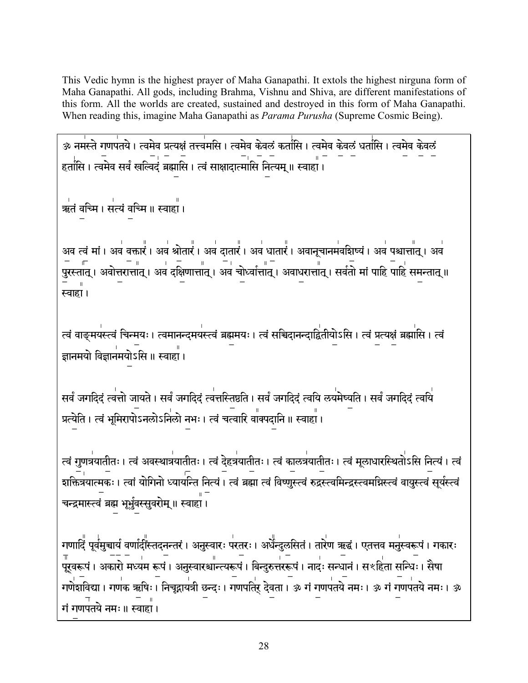This Vedic hymn is the highest prayer of Maha Ganapathi. It extols the highest nirguna form of Maha Ganapathi. All gods, including Brahma, Vishnu and Shiva, are different manifestations of this form. All the worlds are created, sustained and destroyed in this form of Maha Ganapathi. When reading this, imagine Maha Ganapathi as *Parama Purusha* (Supreme Cosmic Being).

ॐ नमस्ते गणपतये। त्वमेव प्रत्यक्षं तत्त्वमसि। त्वमेव केवलं कर्तासि। त्वमेव केवलं धर्तासि। त्वमेव केवलं हर्तांसि । त्वमेव सर्वं खल्विदं ब्रह्मासि । त्वं साक्षादात्मांसि नित्यम् ॥ स्वाहां ।

्र<br>त्र वच्मि । सत्यं वच्मि ॥ स्वाहा ।

अव त्वं मां । अवं वक्तारं । अवं श्रोतारं । अवं दातारं । अवं धातारं । अवानूचानमंवशिष्यं । अवं पश्चात्तात् । अवं स्वाहा।

त्वं वाङ्मयस्त्वं चिन्मयः । त्वमानन्दमयस्त्वं ब्रह्ममयः । त्वं सचिदानन्दाद्वितीयोऽसि । त्वं प्रत्यक्षं ब्रह्मासि । त्वं ज्ञानमयो विज्ञानमयोऽसि ॥ स्वाहा ।

सर्वं जगदिदं त्वत्तो जायते । सर्वं जगदिदं त्वत्तस्तिष्ठति । सर्वं जगदिदं त्वयि लयमेष्यति । सर्वं जगदिदं त्वयि प्रत्येति । त्वं भूमिरापोऽनलोऽनिलो नभः । त्वं चत्वारि वाक्पदानि ॥ स्वाहा ।

त्वं गुणत्रयातीतः । त्वं अवस्थात्रयातीतः । त्वं देहत्रयातीतः । त्वं कालत्रयातीतः । त्वं मूलाधारस्थितोऽसि नित्यं । त्वं ्णाः । त्वां योगिनो ध्यार्यन्ति नित्यं । त्वं ब्रह्मा त्वं विष्णुस्त्वं रुद्रस्त्वमिन्द्रस्त्वमग्निस्त्वं वायुस्त्वं सूर्यस्त्वं चन्द्रमास्त्वं ब्रह्म भूर्भुवस्सुवरोम् ॥ स्वाहां ।

गणादिं पूर्वमुच्चार्य वर्णादींस्तदनन्तरं । अनुस्वारः परतरः । अर्धेन्दुरुसितं । तारेण ऋद्धं । एतत्तव मनुस्वरूपं । गकारः । पणेशविद्या। गणक ऋषिः । निचुद्गायंत्री छन्दः । गणपतिर् देवता । ॐ गं गणपतये नमः । ॐ गं गणपतये नमः । ॐ गं गणपतये नमः ॥ स्वाहा।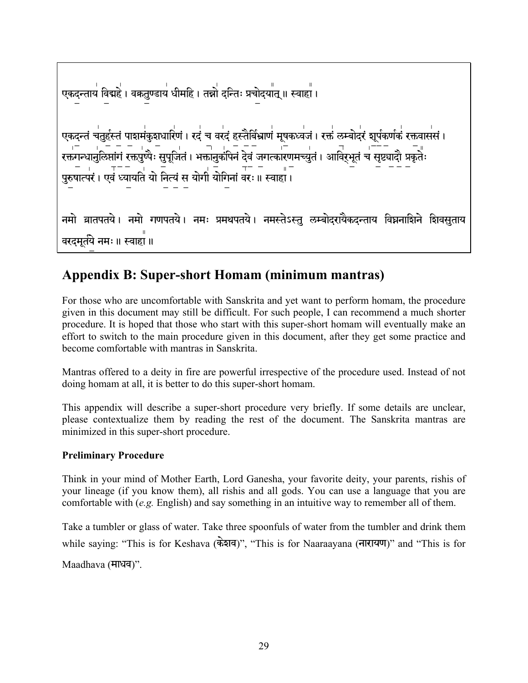# Appendix B: Super-short Homam (minimum mantras)

For those who are uncomfortable with Sanskrita and yet want to perform homam, the procedure given in this document may still be difficult. For such people, I can recommend a much shorter procedure. It is hoped that those who start with this super-short homam will eventually make an effort to switch to the main procedure given in this document, after they get some practice and become comfortable with mantras in Sanskrita.

Mantras offered to a deity in fire are powerful irrespective of the procedure used. Instead of not doing homam at all, it is better to do this super-short homam.

This appendix will describe a super-short procedure very briefly. If some details are unclear, please contextualize them by reading the rest of the document. The Sanskrita mantras are minimized in this super-short procedure.

#### **Preliminary Procedure**

Think in your mind of Mother Earth, Lord Ganesha, your favorite deity, your parents, rishis of your lineage (if you know them), all rishis and all gods. You can use a language that you are comfortable with  $(e.g.$  English) and say something in an intuitive way to remember all of them.

Take a tumbler or glass of water. Take three spoonfuls of water from the tumbler and drink them while saying: "This is for Keshava (केशव)", "This is for Naaraayana (नारायण)" and "This is for

Maadhava (माधव)".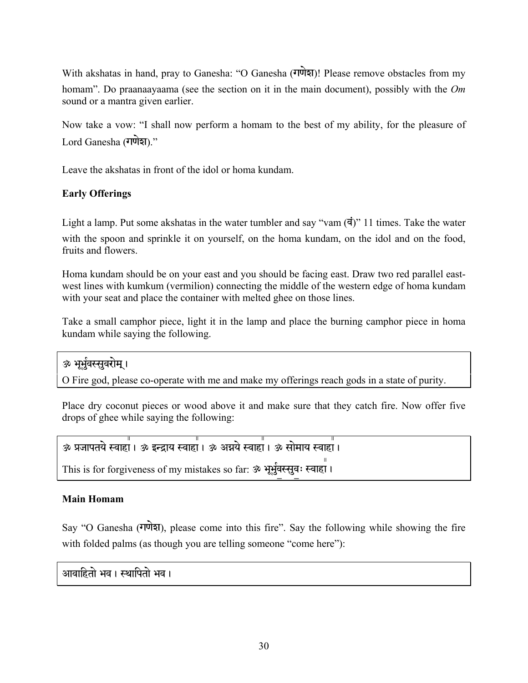With akshatas in hand, pray to Ganesha: "O Ganesha (गणेश)! Please remove obstacles from my homam". Do praanaayaama (see the section on it in the main document), possibly with the *Om* sound or a mantra given earlier.

Now take a vow: "I shall now perform a homam to the best of my ability, for the pleasure of Lord Ganesha (गणेश)."

Leave the akshatas in front of the idol or homa kundam.

#### **Early Offerings**

Light a lamp. Put some akshatas in the water tumbler and say "vam  $(\vec{a})$ " 11 times. Take the water with the spoon and sprinkle it on yourself, on the homa kundam, on the idol and on the food, fruits and flowers.

Homa kundam should be on your east and you should be facing east. Draw two red parallel eastwest lines with kumkum (vermilion) connecting the middle of the western edge of homa kundam with your seat and place the container with melted ghee on those lines.

Take a small camphor piece, light it in the lamp and place the burning camphor piece in homa kundam while saying the following.

ॐ भर्भवस्सवरोम ।

O Fire god, please co-operate with me and make my offerings reach gods in a state of purity.

Place dry coconut pieces or wood above it and make sure that they catch fire. Now offer five drops of ghee while saying the following:

```
` àjaptye Svahaš, ` #NÔay Svahaš, ` A¶ye Svahaš, ` saemay Svahaš,
```
This is for forgiveness of my mistakes so far: ॐ भूर्भुवस्सूवः स्वाहा।

#### **Main Homam**

Say "O Ganesha (गणेश), please come into this fire". Say the following while showing the fire with folded palms (as though you are telling someone "come here"):

आवाहितो भव । स्थापितो भव ।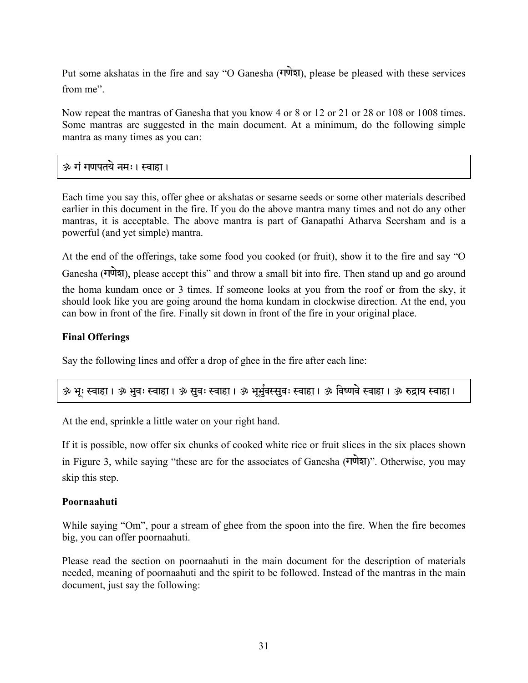Put some akshatas in the fire and say "O Ganesha (गणेश), please be pleased with these services from me".

Now repeat the mantras of Ganesha that you know 4 or 8 or 12 or 21 or 28 or 108 or 1008 times. Some mantras are suggested in the main document. At a minimum, do the following simple mantra as many times as you can:

#### <u>ॐ गं गणपतये नमः । स्वाहा ।</u>

Each time you say this, offer ghee or akshatas or sesame seeds or some other materials described earlier in this document in the fire. If you do the above mantra many times and not do any other mantras, it is acceptable. The above mantra is part of Ganapathi Atharva Seersham and is a powerful (and yet simple) mantra.

At the end of the offerings, take some food you cooked (or fruit), show it to the fire and say "O Ganesha (गणेश), please accept this" and throw a small bit into fire. Then stand up and go around the homa kundam once or 3 times. If someone looks at you from the roof or from the sky, it should look like you are going around the homa kundam in clockwise direction. At the end, you can bow in front of the fire. Finally sit down in front of the fire in your original place.

#### **Final Offerings**

Say the following lines and offer a drop of ghee in the fire after each line:

| ॐ भूः स्वाहा । ॐ भुवः स्वाहा । ॐ सुवः स्वाहा । ॐ भूभुंवस्सुवः स्वाहा । ॐ विष्णवे स्वाहा । ॐ रुद्राय स्वाहा । |  |
|--------------------------------------------------------------------------------------------------------------|--|

At the end, sprinkle a little water on your right hand.

If it is possible, now offer six chunks of cooked white rice or fruit slices in the six places shown in Figure 3, while saying "these are for the associates of Ganesha  $(\overrightarrow{v}$ udizi". Otherwise, you may skip this step.

#### **Poornaahuti**

While saying "Om", pour a stream of ghee from the spoon into the fire. When the fire becomes big, you can offer poornaahuti.

Please read the section on poornaahuti in the main document for the description of materials needed, meaning of poornaahuti and the spirit to be followed. Instead of the mantras in the main document, just say the following: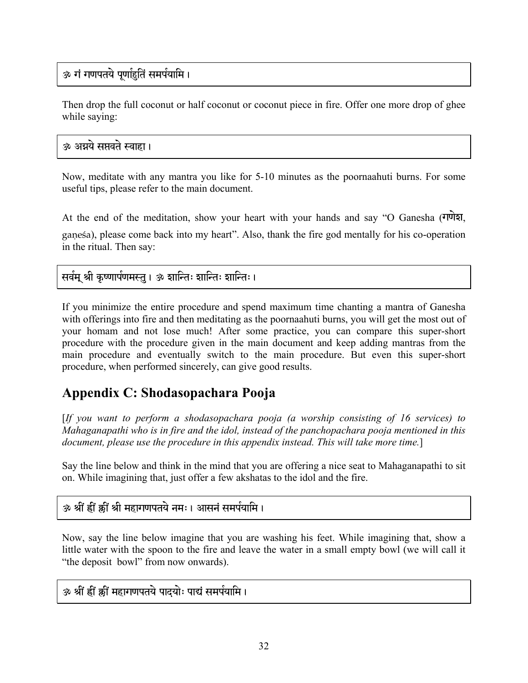### ॐ गं गणपतये पूर्णाहृतिं समर्पयामि ।

Then drop the full coconut or half coconut or coconut piece in fire. Offer one more drop of ghee while saying:

#### <u>ॐ अग्रये सप्तवते स्वाहा ।</u>

Now, meditate with any mantra you like for 5-10 minutes as the poornaahuti burns. For some useful tips, please refer to the main document.

At the end of the meditation, show your heart with your hands and say "O Ganesha  $(\overline{\mathbf{u}}\overline{\mathbf{v}}\overline{\mathbf{v}})$ ganesa), please come back into my heart". Also, thank the fire god mentally for his co-operation in the ritual. Then say:

सर्वम् श्री कृष्णार्पणमस्तु । ॐ शान्तिः शान्तिः शान्तिः ।

If you minimize the entire procedure and spend maximum time chanting a mantra of Ganesha with offerings into fire and then meditating as the poornaahuti burns, you will get the most out of your homam and not lose much! After some practice, you can compare this super-short procedure with the procedure given in the main document and keep adding mantras from the main procedure and eventually switch to the main procedure. But even this super-short procedure, when performed sincerely, can give good results.

# **Appendix C: Shodasopachara Pooja**

[*If you want to perform a shodasopachara pooja (a worship consisting of 16 services) to Mahaganapathi who is in fire and the idol, instead of the panchopachara pooja mentioned in this document, please use the procedure in this appendix instead. This will take more time.*]

Say the line below and think in the mind that you are offering a nice seat to Mahaganapathi to sit on. While imagining that, just offer a few akshatas to the idol and the fire.

### <u>ॐ श्रीं ह्रीं क्रीं श्री महागणपतये नमः। आसनं समर्पयामि ।</u>

Now, say the line below imagine that you are washing his feet. While imagining that, show a little water with the spoon to the fire and leave the water in a small empty bowl (we will call it "the deposit bowl" from now onwards).

ॐ श्रीं ह्रीं क्रीं महागणपतये पादयोः पाद्यं समर्पयामि ।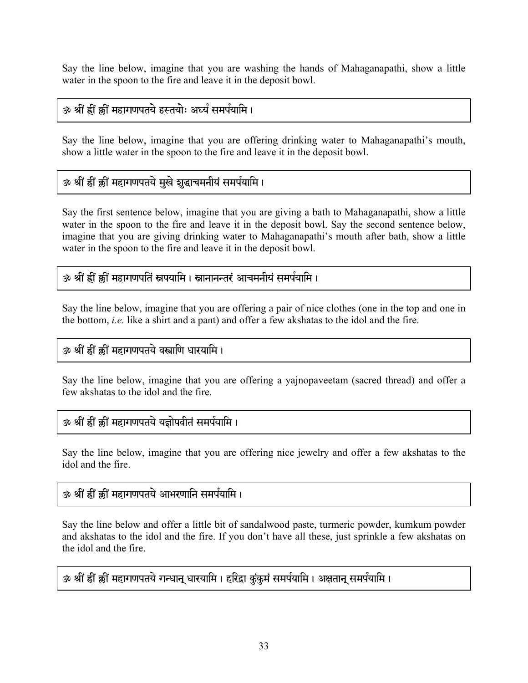Say the line below, imagine that you are washing the hands of Mahaganapathi, show a little water in the spoon to the fire and leave it in the deposit bowl.

### ॐ श्रीं ह्रीं क्रीं महागणपतये हस्तयोः अर्घ्यं समर्पयामि ।

Say the line below, imagine that you are offering drinking water to Mahaganapathi's mouth, show a little water in the spoon to the fire and leave it in the deposit bowl.

### ॐ श्रीं ह्रीं झ्रीं महागणपतये मुखे शुद्धाचमनीयं समर्पयामि ।

Say the first sentence below, imagine that you are giving a bath to Mahaganapathi, show a little water in the spoon to the fire and leave it in the deposit bowl. Say the second sentence below, imagine that you are giving drinking water to Mahaganapathi's mouth after bath, show a little water in the spoon to the fire and leave it in the deposit bowl.

### ॐ श्रीं ह्रीं क्रीं महागणपतिं स्नपयामि । स्नानानन्तरं आचमनीयं समर्पयामि ।

Say the line below, imagine that you are offering a pair of nice clothes (one in the top and one in the bottom, *i.e.* like a shirt and a pant) and offer a few akshatas to the idol and the fire.

### ॐ श्रीं ह्रीं क्रीं महागणपतये वस्त्राणि धारयामि।

Say the line below, imagine that you are offering a yajnopaveetam (sacred thread) and offer a few akshatas to the idol and the fire.

### ॐ श्रीं ह्रीं क्रीं महागणपतये यज्ञोपवीतं समर्पयामि ।

Say the line below, imagine that you are offering nice jewelry and offer a few akshatas to the idol and the fire.

### ॐ श्रीं ह्रीं क्रीं महागणपतये आभरणानि समर्पयामि ।

Say the line below and offer a little bit of sandalwood paste, turmeric powder, kumkum powder and akshatas to the idol and the fire. If you don't have all these, just sprinkle a few akshatas on the idol and the fire.

### ॐ श्रीं ह्वीं र्क्षी महागणपतये गन्धान् धारयामि । हरिद्रा कुंकुमं समर्पयामि । अक्षतान् समर्पयामि ।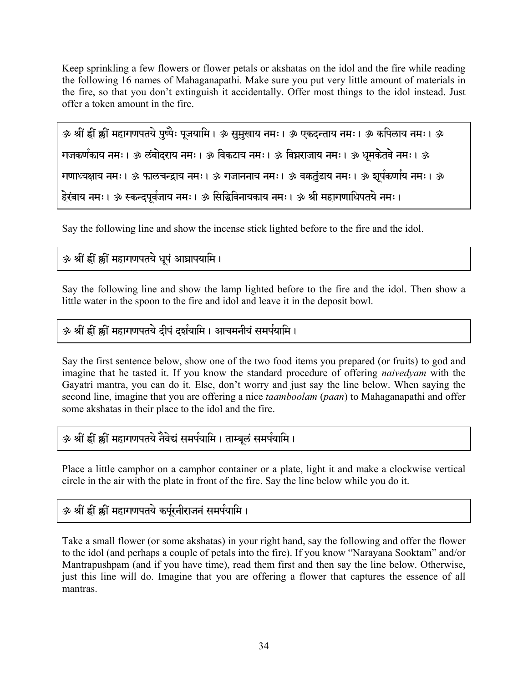Keep sprinkling a few flowers or flower petals or akshatas on the idol and the fire while reading the following 16 names of Mahaganapathi. Make sure you put very little amount of materials in the fire, so that you don't extinguish it accidentally. Offer most things to the idol instead. Just offer a token amount in the fire.

```
ॐ श्रीं ह्रीं क्लीं महागणपतये पुष्पैः पुजयामि । ॐ सुमुखाय नमः । ॐ एकदन्ताय नमः । ॐ कपिलाय नमः । ॐ
गजकर्णकाय नमः। ॐ लंबोदराय नमः। ॐ विकटाय नमः। ॐ विघ्नराजाय नमः। ॐ धूमकेतवे नमः। ॐ
गणाध्यक्षाय नमः । ॐ फालचन्द्राय नमः । ॐ गजाननाय नमः । ॐ वकतुंडाय नमः । ॐ शुर्पकर्णाय नमः । ॐ
हेरंबाय नमः । ॐ स्कन्दपूर्वजाय नमः । ॐ सिद्धिविनायकाय नमः । ॐ श्री महागणाधिपतये नमः ।
```
Say the following line and show the incense stick lighted before to the fire and the idol.

### ॐ श्रीं ह्रीं क्लीं महागणपतये धूपं आघ्रापयामि।

Say the following line and show the lamp lighted before to the fire and the idol. Then show a little water in the spoon to the fire and idol and leave it in the deposit bowl.

### ॐ श्रीं ह्रीं क्लीं महागणपतये दीपं दर्शयामि । आचमनीयं समर्पयामि ।

Say the first sentence below, show one of the two food items you prepared (or fruits) to god and imagine that he tasted it. If you know the standard procedure of offering *naivedyam* with the Gayatri mantra, you can do it. Else, don't worry and just say the line below. When saying the second line, imagine that you are offering a nice *taamboolam* (*paan*) to Mahaganapathi and offer some akshatas in their place to the idol and the fire.

### ॐ श्रीं ह्रीं क्लीं महागणपतये नैवेद्यं समर्पयामि । ताम्बूलं समर्पयामि ।

Place a little camphor on a camphor container or a plate, light it and make a clockwise vertical circle in the air with the plate in front of the fire. Say the line below while you do it.

### ॐ श्रीं ह्यीं क्कीं महागणपतये कर्पूरनीराजनं समर्पयामि।

Take a small flower (or some akshatas) in your right hand, say the following and offer the flower to the idol (and perhaps a couple of petals into the fire). If you know "Narayana Sooktam" and/or Mantrapushpam (and if you have time), read them first and then say the line below. Otherwise, just this line will do. Imagine that you are offering a flower that captures the essence of all mantras.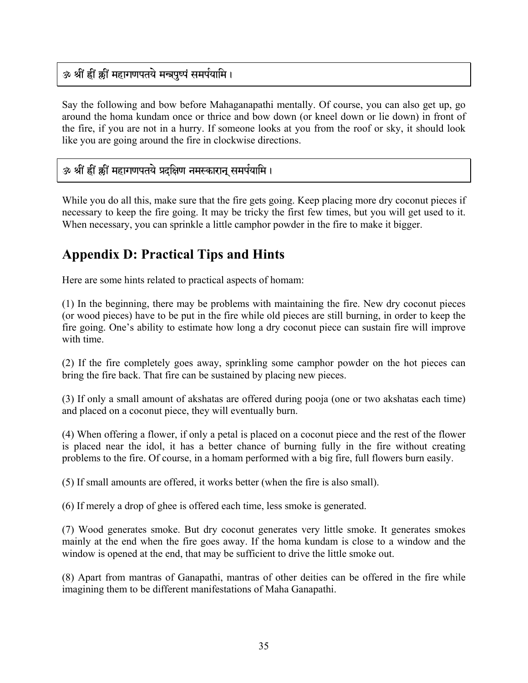### ॐ श्रीं ह्रीं क्रीं महागणपतये मन्त्रपृष्पं समर्पयामि।

Say the following and bow before Mahaganapathi mentally. Of course, you can also get up, go around the homa kundam once or thrice and bow down (or kneel down or lie down) in front of the fire, if you are not in a hurry. If someone looks at you from the roof or sky, it should look like you are going around the fire in clockwise directions.

### ॐ श्रीं ह्रीं झ्रीं महागणपतये प्रदक्षिण नमस्कारान् समर्पयामि।

While you do all this, make sure that the fire gets going. Keep placing more dry coconut pieces if necessary to keep the fire going. It may be tricky the first few times, but you will get used to it. When necessary, you can sprinkle a little camphor powder in the fire to make it bigger.

# **Appendix D: Practical Tips and Hints**

Here are some hints related to practical aspects of homam:

(1) In the beginning, there may be problems with maintaining the fire. New dry coconut pieces (or wood pieces) have to be put in the fire while old pieces are still burning, in order to keep the fire going. One's ability to estimate how long a dry coconut piece can sustain fire will improve with time.

(2) If the fire completely goes away, sprinkling some camphor powder on the hot pieces can bring the fire back. That fire can be sustained by placing new pieces.

(3) If only a small amount of akshatas are offered during pooja (one or two akshatas each time) and placed on a coconut piece, they will eventually burn.

(4) When offering a flower, if only a petal is placed on a coconut piece and the rest of the flower is placed near the idol, it has a better chance of burning fully in the fire without creating problems to the fire. Of course, in a homam performed with a big fire, full flowers burn easily.

(5) If small amounts are offered, it works better (when the fire is also small).

(6) If merely a drop of ghee is offered each time, less smoke is generated.

(7) Wood generates smoke. But dry coconut generates very little smoke. It generates smokes mainly at the end when the fire goes away. If the homa kundam is close to a window and the window is opened at the end, that may be sufficient to drive the little smoke out.

(8) Apart from mantras of Ganapathi, mantras of other deities can be offered in the fire while imagining them to be different manifestations of Maha Ganapathi.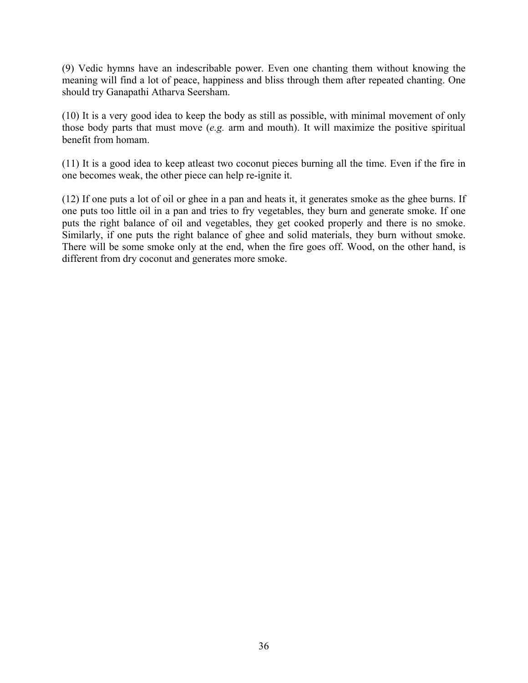(9) Vedic hymns have an indescribable power. Even one chanting them without knowing the meaning will find a lot of peace, happiness and bliss through them after repeated chanting. One should try Ganapathi Atharva Seersham.

(10) It is a very good idea to keep the body as still as possible, with minimal movement of only those body parts that must move (*e.g.* arm and mouth). It will maximize the positive spiritual benefit from homam.

(11) It is a good idea to keep atleast two coconut pieces burning all the time. Even if the fire in one becomes weak, the other piece can help re-ignite it.

(12) If one puts a lot of oil or ghee in a pan and heats it, it generates smoke as the ghee burns. If one puts too little oil in a pan and tries to fry vegetables, they burn and generate smoke. If one puts the right balance of oil and vegetables, they get cooked properly and there is no smoke. Similarly, if one puts the right balance of ghee and solid materials, they burn without smoke. There will be some smoke only at the end, when the fire goes off. Wood, on the other hand, is different from dry coconut and generates more smoke.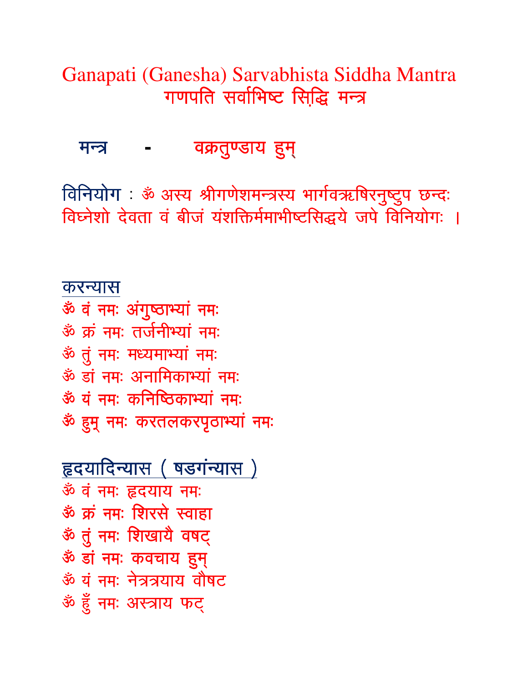Ganapati (Ganesha) Sarvabhista Siddha Mantra गणपति सर्वाभिष्ट सिद्धि मन्त्र

मन्त्र वक्रतुण्डाय हुम्

विनियोग: ॐ अस्य श्रीगणेशमन्त्रस्य भार्गवऋषिरनुष्टुप छन्दः विघ्नेशो देवता वं बीजं यंशक्तिर्ममाभीष्टसिद्धये जपे विनियोगः ।

करन्यास ॐ वं नमः अंगुष्ठाभ्यां नमः ॐ क्रं नमः तर्जनीभ्यां नमः ॐ तुं नमः मध्यमाभ्यां नमः ॐ डां नमः अनामिकाभ्यां नमः ॐ यं नमः कनिष्ठिकाभ्यां नमः ॐ हुम् नमः करतलकरपृठाभ्यां नमः

हृदयादिन्यास (षडगंन्यास) ॐ वं नमः हृदयाय नमः ॐ क्रं नमः शिरसे स्वाहा ॐ तुं नमः शिखायै वषट् ॐ डां नमः कवचाय हुम् ॐ यं नमः नेत्रत्रयाय वौषट ॐ हुँ नमः अस्त्राय फट्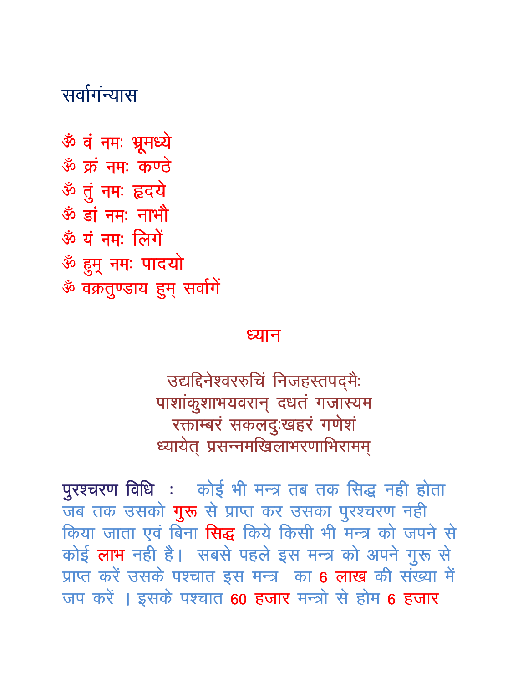# सर्वागंन्यास

ॐ वं नमः भ्रूमध्ये ॐ क्रं नमः कण्ठे ॐ तुं नमः हृदये ॐ डां नमः नाभौ ॐ यं नमः लिगें ॐ हुम् नमः पादयो ॐ वक्रतुण्डाय हुम् सर्वागे

# ધ્યાન

उद्यद्दिनेश्वररुचि निजहस्तपद्मैः पाशांकुशाभयवरान् दधतं गजास्यम रक्ताम्बरं सकलदुःखहरं गणेशं ध्यायेत् प्रसन्नमखिलाभरणाभिरामम्

पुरश्चरण विधि : कोई भी मन्त्र तब तक सिद्ध नही होता जब तक उसको गुरू से प्राप्त कर उसका पुरश्चरण नही किया जाता एवं बिना सिद्ध किये किसी भी मन्त्र को जपने से कोई लाभ नही है। सबसे पहले इस मन्त्र को अपने गुरू से प्राप्त करें उसके पश्चात इस मन्त्र का 6 लाख की संख्या में जप करें । इसके पश्चात 60 हजार मन्त्रो से होम 6 हजार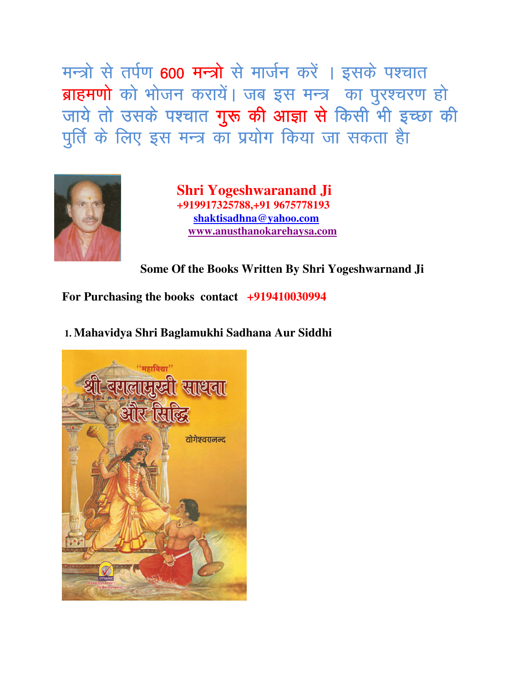मन्त्रो से तर्पण 600 मन्त्रो से मार्जन करें । इसके पश्चात ब्राहमणो को भोजन करायें। जब इस मन्त्र का पुरश्चरण हो जाये तो उसके पश्चात **गुरू की आज्ञा से** किसी भी इच्छा की पूर्ति के लिए इस मन्त्र का प्रयोग किया जा सकता है।



 **Shri Yogeshwaranand Ji +919917325788,+91 9675778193 shaktisadhna@yahoo.com www.anusthanokarehaysa.com**

**Some Of the Books Written By Shri Yogeshwarnand Ji** 

**For Purchasing the books contact +919410030994**

 **1. Mahavidya Shri Baglamukhi Sadhana Aur Siddhi**